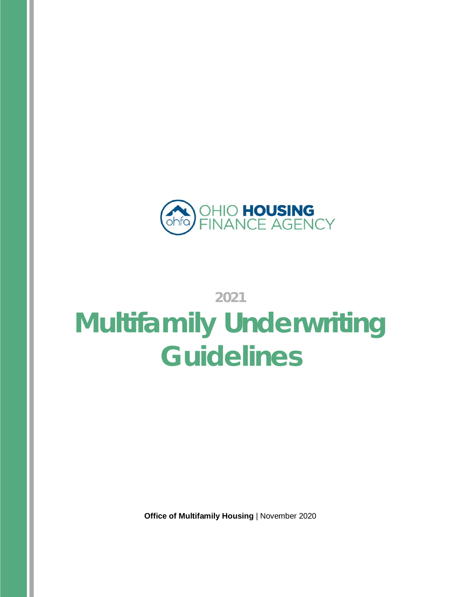

# **2021 Multifamily Underwriting Guidelines**

**Office of Multifamily Housing** | November 2020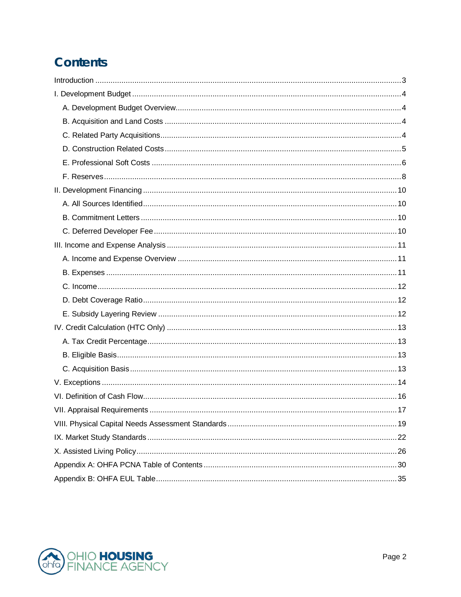# **Contents**

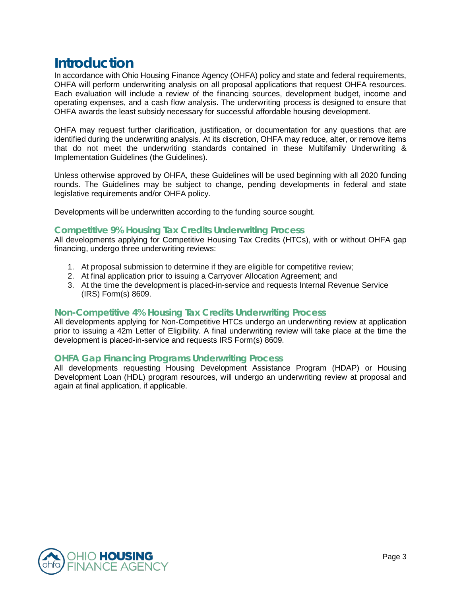# <span id="page-2-0"></span>**Introduction**

In accordance with Ohio Housing Finance Agency (OHFA) policy and state and federal requirements, OHFA will perform underwriting analysis on all proposal applications that request OHFA resources. Each evaluation will include a review of the financing sources, development budget, income and operating expenses, and a cash flow analysis. The underwriting process is designed to ensure that OHFA awards the least subsidy necessary for successful affordable housing development.

OHFA may request further clarification, justification, or documentation for any questions that are identified during the underwriting analysis. At its discretion, OHFA may reduce, alter, or remove items that do not meet the underwriting standards contained in these Multifamily Underwriting & Implementation Guidelines (the Guidelines).

Unless otherwise approved by OHFA, these Guidelines will be used beginning with all 2020 funding rounds. The Guidelines may be subject to change, pending developments in federal and state legislative requirements and/or OHFA policy.

Developments will be underwritten according to the funding source sought.

#### **Competitive 9% Housing Tax Credits Underwriting Process**

All developments applying for Competitive Housing Tax Credits (HTCs), with or without OHFA gap financing, undergo three underwriting reviews:

- 1. At proposal submission to determine if they are eligible for competitive review;
- 2. At final application prior to issuing a Carryover Allocation Agreement; and
- 3. At the time the development is placed-in-service and requests Internal Revenue Service (IRS) Form(s) 8609.

#### **Non-Competitive 4% Housing Tax Credits Underwriting Process**

All developments applying for Non-Competitive HTCs undergo an underwriting review at application prior to issuing a 42m Letter of Eligibility. A final underwriting review will take place at the time the development is placed-in-service and requests IRS Form(s) 8609.

#### **OHFA Gap Financing Programs Underwriting Process**

All developments requesting Housing Development Assistance Program (HDAP) or Housing Development Loan (HDL) program resources, will undergo an underwriting review at proposal and again at final application, if applicable.

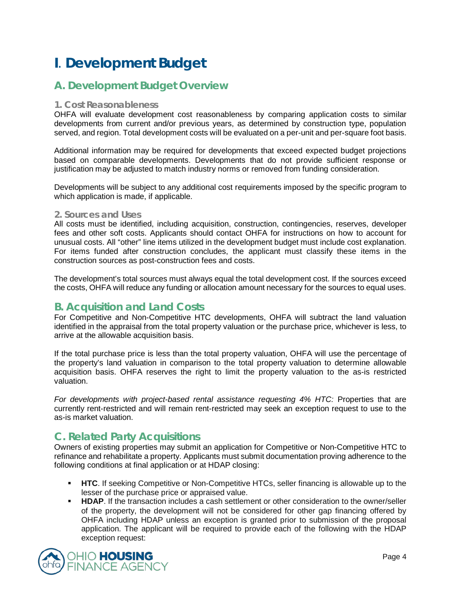# <span id="page-3-0"></span>**I**. **Development Budget**

# <span id="page-3-1"></span>**A. Development Budget Overview**

#### **1. Cost Reasonableness**

OHFA will evaluate development cost reasonableness by comparing application costs to similar developments from current and/or previous years, as determined by construction type, population served, and region. Total development costs will be evaluated on a per-unit and per-square foot basis.

Additional information may be required for developments that exceed expected budget projections based on comparable developments. Developments that do not provide sufficient response or justification may be adjusted to match industry norms or removed from funding consideration.

Developments will be subject to any additional cost requirements imposed by the specific program to which application is made, if applicable.

#### **2. Sources and Uses**

All costs must be identified, including acquisition, construction, contingencies, reserves, developer fees and other soft costs. Applicants should contact OHFA for instructions on how to account for unusual costs. All "other" line items utilized in the development budget must include cost explanation. For items funded after construction concludes, the applicant must classify these items in the construction sources as post-construction fees and costs.

The development's total sources must always equal the total development cost. If the sources exceed the costs, OHFA will reduce any funding or allocation amount necessary for the sources to equal uses.

# <span id="page-3-2"></span>**B. Acquisition and Land Costs**

For Competitive and Non-Competitive HTC developments, OHFA will subtract the land valuation identified in the appraisal from the total property valuation or the purchase price, whichever is less, to arrive at the allowable acquisition basis.

If the total purchase price is less than the total property valuation, OHFA will use the percentage of the property's land valuation in comparison to the total property valuation to determine allowable acquisition basis. OHFA reserves the right to limit the property valuation to the as-is restricted valuation.

*For developments with project-based rental assistance requesting 4% HTC:* Properties that are currently rent-restricted and will remain rent-restricted may seek an exception request to use to the as-is market valuation.

# <span id="page-3-3"></span>**C. Related Party Acquisitions**

Owners of existing properties may submit an application for Competitive or Non-Competitive HTC to refinance and rehabilitate a property. Applicants must submit documentation proving adherence to the following conditions at final application or at HDAP closing:

- **HTC**. If seeking Competitive or Non-Competitive HTCs, seller financing is allowable up to the lesser of the purchase price or appraised value.
- **HDAP.** If the transaction includes a cash settlement or other consideration to the owner/seller of the property, the development will not be considered for other gap financing offered by OHFA including HDAP unless an exception is granted prior to submission of the proposal application. The applicant will be required to provide each of the following with the HDAP exception request:

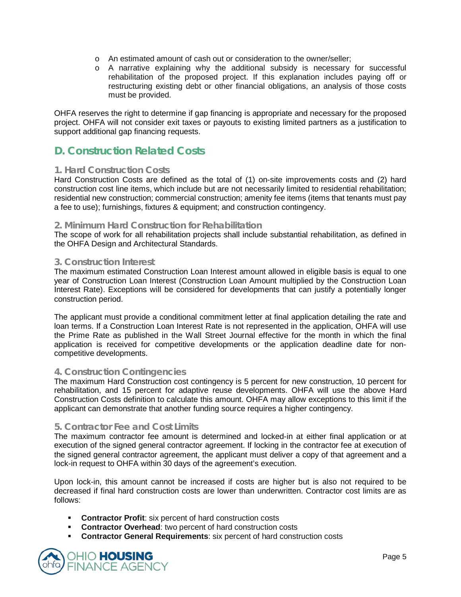- o An estimated amount of cash out or consideration to the owner/seller;
- o A narrative explaining why the additional subsidy is necessary for successful rehabilitation of the proposed project. If this explanation includes paying off or restructuring existing debt or other financial obligations, an analysis of those costs must be provided.

OHFA reserves the right to determine if gap financing is appropriate and necessary for the proposed project. OHFA will not consider exit taxes or payouts to existing limited partners as a justification to support additional gap financing requests.

# <span id="page-4-0"></span>**D. Construction Related Costs**

#### **1. Hard Construction Costs**

Hard Construction Costs are defined as the total of (1) on-site improvements costs and (2) hard construction cost line items, which include but are not necessarily limited to residential rehabilitation; residential new construction; commercial construction; amenity fee items (items that tenants must pay a fee to use); furnishings, fixtures & equipment; and construction contingency.

#### **2. Minimum Hard Construction for Rehabilitation**

The scope of work for all rehabilitation projects shall include substantial rehabilitation, as defined in the OHFA Design and Architectural Standards.

#### **3. Construction Interest**

The maximum estimated Construction Loan Interest amount allowed in eligible basis is equal to one year of Construction Loan Interest (Construction Loan Amount multiplied by the Construction Loan Interest Rate). Exceptions will be considered for developments that can justify a potentially longer construction period.

The applicant must provide a conditional commitment letter at final application detailing the rate and loan terms. If a Construction Loan Interest Rate is not represented in the application, OHFA will use the Prime Rate as published in the Wall Street Journal effective for the month in which the final application is received for competitive developments or the application deadline date for noncompetitive developments.

#### **4. Construction Contingencies**

The maximum Hard Construction cost contingency is 5 percent for new construction, 10 percent for rehabilitation, and 15 percent for adaptive reuse developments. OHFA will use the above Hard Construction Costs definition to calculate this amount. OHFA may allow exceptions to this limit if the applicant can demonstrate that another funding source requires a higher contingency.

#### **5. Contractor Fee and Cost Limits**

The maximum contractor fee amount is determined and locked-in at either final application or at execution of the signed general contractor agreement. If locking in the contractor fee at execution of the signed general contractor agreement, the applicant must deliver a copy of that agreement and a lock-in request to OHFA within 30 days of the agreement's execution.

Upon lock-in, this amount cannot be increased if costs are higher but is also not required to be decreased if final hard construction costs are lower than underwritten. Contractor cost limits are as follows:

- **Contractor Profit:** six percent of hard construction costs
- **Contractor Overhead:** two percent of hard construction costs
- **Contractor General Requirements**: six percent of hard construction costs

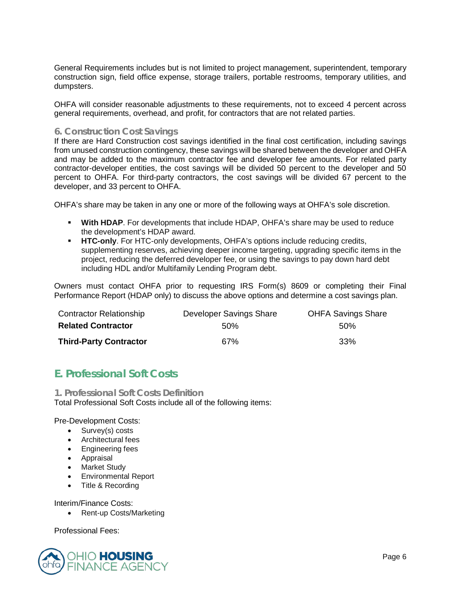General Requirements includes but is not limited to project management, superintendent, temporary construction sign, field office expense, storage trailers, portable restrooms, temporary utilities, and dumpsters.

OHFA will consider reasonable adjustments to these requirements, not to exceed 4 percent across general requirements, overhead, and profit, for contractors that are not related parties.

#### **6. Construction Cost Savings**

If there are Hard Construction cost savings identified in the final cost certification, including savings from unused construction contingency, these savings will be shared between the developer and OHFA and may be added to the maximum contractor fee and developer fee amounts. For related party contractor-developer entities, the cost savings will be divided 50 percent to the developer and 50 percent to OHFA. For third-party contractors, the cost savings will be divided 67 percent to the developer, and 33 percent to OHFA.

OHFA's share may be taken in any one or more of the following ways at OHFA's sole discretion.

- **With HDAP**. For developments that include HDAP, OHFA's share may be used to reduce the development's HDAP award.
- **HTC-only**. For HTC-only developments, OHFA's options include reducing credits, supplementing reserves, achieving deeper income targeting, upgrading specific items in the project, reducing the deferred developer fee, or using the savings to pay down hard debt including HDL and/or Multifamily Lending Program debt.

Owners must contact OHFA prior to requesting IRS Form(s) 8609 or completing their Final Performance Report (HDAP only) to discuss the above options and determine a cost savings plan.

| <b>Contractor Relationship</b> | Developer Savings Share | <b>OHFA Savings Share</b> |
|--------------------------------|-------------------------|---------------------------|
| <b>Related Contractor</b>      | 50%                     | .50%                      |
| <b>Third-Party Contractor</b>  | 67%                     | -33%                      |

# <span id="page-5-0"></span>**E. Professional Soft Costs**

**1. Professional Soft Costs Definition**  Total Professional Soft Costs include all of the following items:

Pre-Development Costs:

- Survey(s) costs
- Architectural fees
- Engineering fees
- Appraisal
- Market Study
- Environmental Report
- Title & Recording

Interim/Finance Costs:

• Rent-up Costs/Marketing

Professional Fees:

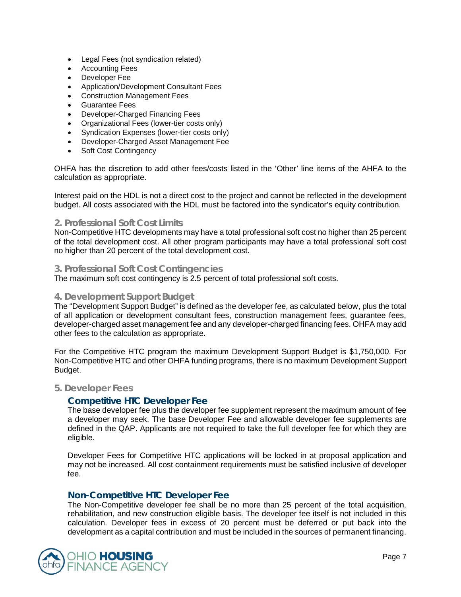- Legal Fees (not syndication related)
- Accounting Fees
- Developer Fee
- Application/Development Consultant Fees
- Construction Management Fees
- Guarantee Fees
- Developer-Charged Financing Fees
- Organizational Fees (lower-tier costs only)
- Syndication Expenses (lower-tier costs only)
- Developer-Charged Asset Management Fee
- Soft Cost Contingency

OHFA has the discretion to add other fees/costs listed in the 'Other' line items of the AHFA to the calculation as appropriate.

Interest paid on the HDL is not a direct cost to the project and cannot be reflected in the development budget. All costs associated with the HDL must be factored into the syndicator's equity contribution.

#### **2. Professional Soft Cost Limits**

Non-Competitive HTC developments may have a total professional soft cost no higher than 25 percent of the total development cost. All other program participants may have a total professional soft cost no higher than 20 percent of the total development cost.

#### **3. Professional Soft Cost Contingencies**

The maximum soft cost contingency is 2.5 percent of total professional soft costs.

#### **4. Development Support Budget**

The "Development Support Budget" is defined as the developer fee, as calculated below, plus the total of all application or development consultant fees, construction management fees, guarantee fees, developer-charged asset management fee and any developer-charged financing fees. OHFA may add other fees to the calculation as appropriate.

For the Competitive HTC program the maximum Development Support Budget is \$1,750,000. For Non-Competitive HTC and other OHFA funding programs, there is no maximum Development Support Budget.

#### **5. Developer Fees**

#### **Competitive HTC Developer Fee**

The base developer fee plus the developer fee supplement represent the maximum amount of fee a developer may seek. The base Developer Fee and allowable developer fee supplements are defined in the QAP. Applicants are not required to take the full developer fee for which they are eligible.

Developer Fees for Competitive HTC applications will be locked in at proposal application and may not be increased. All cost containment requirements must be satisfied inclusive of developer fee.

#### **Non-Competitive HTC Developer Fee**

The Non-Competitive developer fee shall be no more than 25 percent of the total acquisition, rehabilitation, and new construction eligible basis. The developer fee itself is not included in this calculation. Developer fees in excess of 20 percent must be deferred or put back into the development as a capital contribution and must be included in the sources of permanent financing.

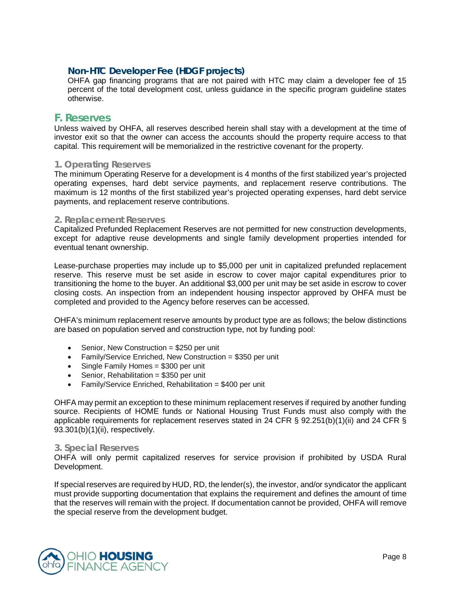#### **Non-HTC Developer Fee (HDGF projects)**

OHFA gap financing programs that are not paired with HTC may claim a developer fee of 15 percent of the total development cost, unless guidance in the specific program guideline states otherwise.

#### <span id="page-7-0"></span>**F. Reserves**

Unless waived by OHFA, all reserves described herein shall stay with a development at the time of investor exit so that the owner can access the accounts should the property require access to that capital. This requirement will be memorialized in the restrictive covenant for the property.

#### **1. Operating Reserves**

The minimum Operating Reserve for a development is 4 months of the first stabilized year's projected operating expenses, hard debt service payments, and replacement reserve contributions. The maximum is 12 months of the first stabilized year's projected operating expenses, hard debt service payments, and replacement reserve contributions.

#### **2. Replacement Reserves**

Capitalized Prefunded Replacement Reserves are not permitted for new construction developments, except for adaptive reuse developments and single family development properties intended for eventual tenant ownership.

Lease-purchase properties may include up to \$5,000 per unit in capitalized prefunded replacement reserve. This reserve must be set aside in escrow to cover major capital expenditures prior to transitioning the home to the buyer. An additional \$3,000 per unit may be set aside in escrow to cover closing costs. An inspection from an independent housing inspector approved by OHFA must be completed and provided to the Agency before reserves can be accessed.

OHFA's minimum replacement reserve amounts by product type are as follows; the below distinctions are based on population served and construction type, not by funding pool:

- Senior, New Construction = \$250 per unit
- Family/Service Enriched, New Construction = \$350 per unit
- Single Family Homes = \$300 per unit
- Senior, Rehabilitation = \$350 per unit
- Family/Service Enriched, Rehabilitation = \$400 per unit

OHFA may permit an exception to these minimum replacement reserves if required by another funding source. Recipients of HOME funds or National Housing Trust Funds must also comply with the applicable requirements for replacement reserves stated in 24 CFR § 92.251(b)(1)(ii) and 24 CFR § 93.301(b)(1)(ii), respectively.

#### **3. Special Reserves**

OHFA will only permit capitalized reserves for service provision if prohibited by USDA Rural Development.

If special reserves are required by HUD, RD, the lender(s), the investor, and/or syndicator the applicant must provide supporting documentation that explains the requirement and defines the amount of time that the reserves will remain with the project. If documentation cannot be provided, OHFA will remove the special reserve from the development budget.

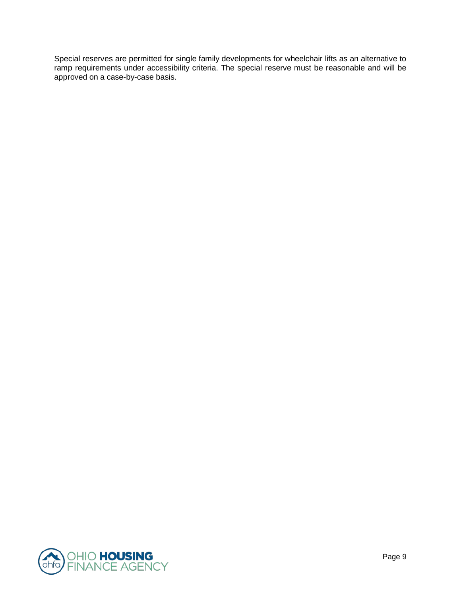Special reserves are permitted for single family developments for wheelchair lifts as an alternative to ramp requirements under accessibility criteria. The special reserve must be reasonable and will be approved on a case-by-case basis.

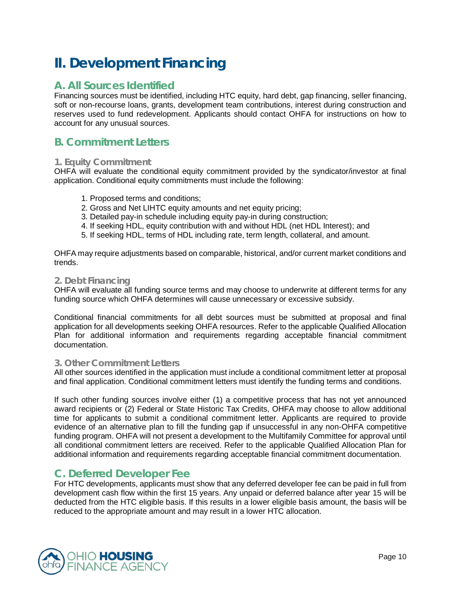# <span id="page-9-0"></span>**II. Development Financing**

# <span id="page-9-1"></span>**A. All Sources Identified**

Financing sources must be identified, including HTC equity, hard debt, gap financing, seller financing, soft or non-recourse loans, grants, development team contributions, interest during construction and reserves used to fund redevelopment. Applicants should contact OHFA for instructions on how to account for any unusual sources.

# <span id="page-9-2"></span>**B. Commitment Letters**

#### **1. Equity Commitment**

OHFA will evaluate the conditional equity commitment provided by the syndicator/investor at final application. Conditional equity commitments must include the following:

- 1. Proposed terms and conditions;
- 2. Gross and Net LIHTC equity amounts and net equity pricing;
- 3. Detailed pay-in schedule including equity pay-in during construction;
- 4. If seeking HDL, equity contribution with and without HDL (net HDL Interest); and
- 5. If seeking HDL, terms of HDL including rate, term length, collateral, and amount.

OHFA may require adjustments based on comparable, historical, and/or current market conditions and trends.

#### **2. Debt Financing**

OHFA will evaluate all funding source terms and may choose to underwrite at different terms for any funding source which OHFA determines will cause unnecessary or excessive subsidy.

Conditional financial commitments for all debt sources must be submitted at proposal and final application for all developments seeking OHFA resources. Refer to the applicable Qualified Allocation Plan for additional information and requirements regarding acceptable financial commitment documentation.

#### **3. Other Commitment Letters**

All other sources identified in the application must include a conditional commitment letter at proposal and final application. Conditional commitment letters must identify the funding terms and conditions.

If such other funding sources involve either (1) a competitive process that has not yet announced award recipients or (2) Federal or State Historic Tax Credits, OHFA may choose to allow additional time for applicants to submit a conditional commitment letter. Applicants are required to provide evidence of an alternative plan to fill the funding gap if unsuccessful in any non-OHFA competitive funding program. OHFA will not present a development to the Multifamily Committee for approval until all conditional commitment letters are received. Refer to the applicable Qualified Allocation Plan for additional information and requirements regarding acceptable financial commitment documentation.

# <span id="page-9-3"></span>**C. Deferred Developer Fee**

For HTC developments, applicants must show that any deferred developer fee can be paid in full from development cash flow within the first 15 years. Any unpaid or deferred balance after year 15 will be deducted from the HTC eligible basis. If this results in a lower eligible basis amount, the basis will be reduced to the appropriate amount and may result in a lower HTC allocation.

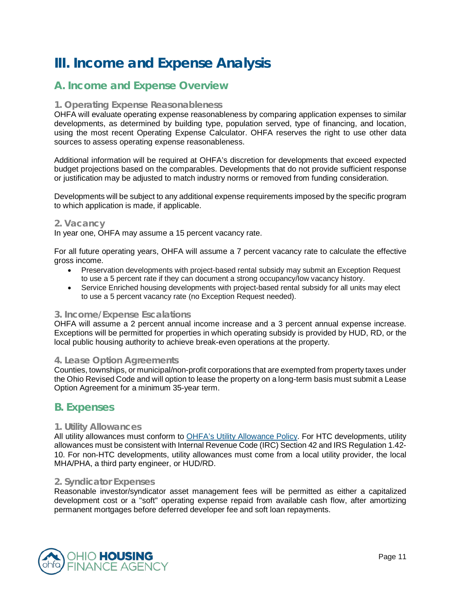# <span id="page-10-0"></span>**III. Income and Expense Analysis**

# <span id="page-10-1"></span>**A. Income and Expense Overview**

#### **1. Operating Expense Reasonableness**

OHFA will evaluate operating expense reasonableness by comparing application expenses to similar developments, as determined by building type, population served, type of financing, and location, using the most recent Operating Expense Calculator. OHFA reserves the right to use other data sources to assess operating expense reasonableness.

Additional information will be required at OHFA's discretion for developments that exceed expected budget projections based on the comparables. Developments that do not provide sufficient response or justification may be adjusted to match industry norms or removed from funding consideration.

Developments will be subject to any additional expense requirements imposed by the specific program to which application is made, if applicable.

#### **2. Vacancy**

In year one, OHFA may assume a 15 percent vacancy rate.

For all future operating years, OHFA will assume a 7 percent vacancy rate to calculate the effective gross income.

- Preservation developments with project-based rental subsidy may submit an Exception Request to use a 5 percent rate if they can document a strong occupancy/low vacancy history.
- Service Enriched housing developments with project-based rental subsidy for all units may elect to use a 5 percent vacancy rate (no Exception Request needed).

#### **3. Income/Expense Escalations**

OHFA will assume a 2 percent annual income increase and a 3 percent annual expense increase. Exceptions will be permitted for properties in which operating subsidy is provided by HUD, RD, or the local public housing authority to achieve break-even operations at the property.

#### **4. Lease Option Agreements**

Counties, townships, or municipal/non-profit corporations that are exempted from property taxes under the Ohio Revised Code and will option to lease the property on a long-term basis must submit a Lease Option Agreement for a minimum 35-year term.

# <span id="page-10-2"></span>**B. Expenses**

#### **1. Utility Allowances**

All utility allowances must conform to **OHFA's Utility Allowance Policy**. For HTC developments, utility allowances must be consistent with Internal Revenue Code (IRC) Section 42 and IRS Regulation 1.42- 10. For non-HTC developments, utility allowances must come from a local utility provider, the local MHA/PHA, a third party engineer, or HUD/RD.

#### **2. Syndicator Expenses**

Reasonable investor/syndicator asset management fees will be permitted as either a capitalized development cost or a "soft" operating expense repaid from available cash flow, after amortizing permanent mortgages before deferred developer fee and soft loan repayments.

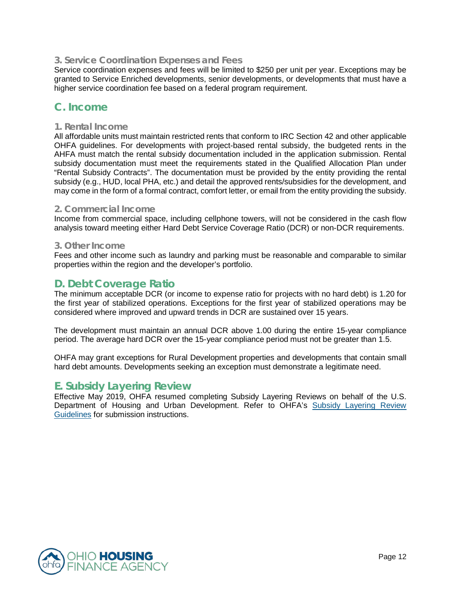#### **3. Service Coordination Expenses and Fees**

Service coordination expenses and fees will be limited to \$250 per unit per year. Exceptions may be granted to Service Enriched developments, senior developments, or developments that must have a higher service coordination fee based on a federal program requirement.

# <span id="page-11-0"></span>**C. Income**

#### **1. Rental Income**

All affordable units must maintain restricted rents that conform to IRC Section 42 and other applicable OHFA guidelines. For developments with project-based rental subsidy, the budgeted rents in the AHFA must match the rental subsidy documentation included in the application submission. Rental subsidy documentation must meet the requirements stated in the Qualified Allocation Plan under "Rental Subsidy Contracts". The documentation must be provided by the entity providing the rental subsidy (e.g., HUD, local PHA, etc.) and detail the approved rents/subsidies for the development, and may come in the form of a formal contract, comfort letter, or email from the entity providing the subsidy.

#### **2. Commercial Income**

Income from commercial space, including cellphone towers, will not be considered in the cash flow analysis toward meeting either Hard Debt Service Coverage Ratio (DCR) or non-DCR requirements.

#### **3. Other Income**

Fees and other income such as laundry and parking must be reasonable and comparable to similar properties within the region and the developer's portfolio.

# <span id="page-11-1"></span>**D. Debt Coverage Ratio**

The minimum acceptable DCR (or income to expense ratio for projects with no hard debt) is 1.20 for the first year of stabilized operations. Exceptions for the first year of stabilized operations may be considered where improved and upward trends in DCR are sustained over 15 years.

The development must maintain an annual DCR above 1.00 during the entire 15-year compliance period. The average hard DCR over the 15-year compliance period must not be greater than 1.5.

OHFA may grant exceptions for Rural Development properties and developments that contain small hard debt amounts. Developments seeking an exception must demonstrate a legitimate need.

### <span id="page-11-2"></span>**E. Subsidy Layering Review**

<span id="page-11-3"></span>Effective May 2019, OHFA resumed completing Subsidy Layering Reviews on behalf of the U.S. Department of Housing and Urban Development. Refer to OHFA's [Subsidy Layering Review](http://ohiohome.org/ppd/resources.aspx)  [Guidelines](http://ohiohome.org/ppd/resources.aspx) for submission instructions.

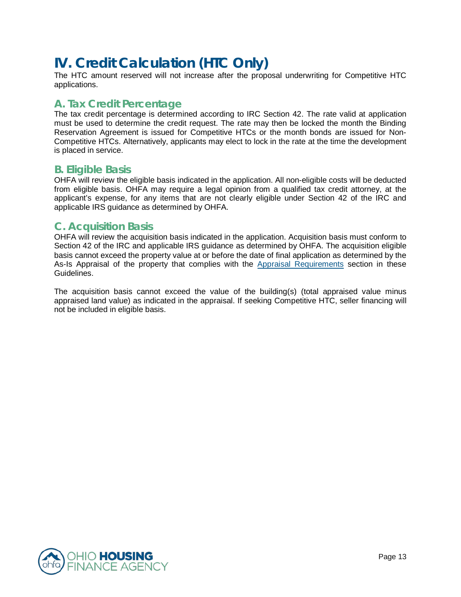# **IV. Credit Calculation (HTC Only)**

The HTC amount reserved will not increase after the proposal underwriting for Competitive HTC applications.

# <span id="page-12-0"></span>**A. Tax Credit Percentage**

The tax credit percentage is determined according to IRC Section 42. The rate valid at application must be used to determine the credit request. The rate may then be locked the month the Binding Reservation Agreement is issued for Competitive HTCs or the month bonds are issued for Non-Competitive HTCs. Alternatively, applicants may elect to lock in the rate at the time the development is placed in service.

# <span id="page-12-1"></span>**B. Eligible Basis**

OHFA will review the eligible basis indicated in the application. All non-eligible costs will be deducted from eligible basis. OHFA may require a legal opinion from a qualified tax credit attorney, at the applicant's expense, for any items that are not clearly eligible under Section 42 of the IRC and applicable IRS guidance as determined by OHFA.

### <span id="page-12-2"></span>**C. Acquisition Basis**

OHFA will review the acquisition basis indicated in the application. Acquisition basis must conform to Section 42 of the IRC and applicable IRS guidance as determined by OHFA. The acquisition eligible basis cannot exceed the property value at or before the date of final application as determined by the As-Is Appraisal of the property that complies with the [Appraisal Requirements](#page-16-0) section in these Guidelines.

The acquisition basis cannot exceed the value of the building(s) (total appraised value minus appraised land value) as indicated in the appraisal. If seeking Competitive HTC, seller financing will not be included in eligible basis.

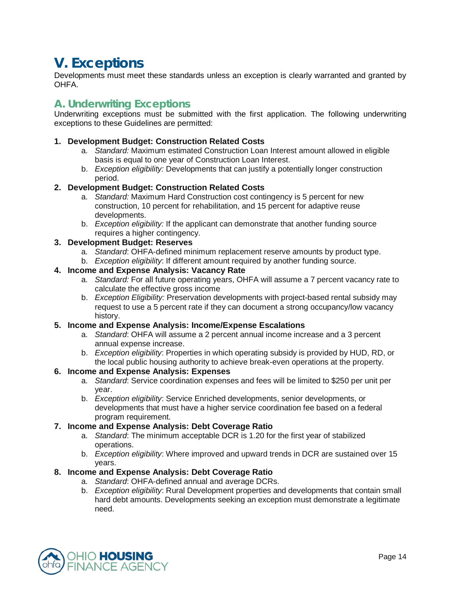# <span id="page-13-0"></span>**V. Exceptions**

Developments must meet these standards unless an exception is clearly warranted and granted by OHFA.

# **A. Underwriting Exceptions**

Underwriting exceptions must be submitted with the first application. The following underwriting exceptions to these Guidelines are permitted:

#### **1. Development Budget: Construction Related Costs**

- a. *Standard:* Maximum estimated Construction Loan Interest amount allowed in eligible basis is equal to one year of Construction Loan Interest.
- b. *Exception eligibility:* Developments that can justify a potentially longer construction period.

#### **2. Development Budget: Construction Related Costs**

- a. *Standard:* Maximum Hard Construction cost contingency is 5 percent for new construction, 10 percent for rehabilitation, and 15 percent for adaptive reuse developments.
- b. *Exception eligibility:* If the applicant can demonstrate that another funding source requires a higher contingency.

#### **3. Development Budget: Reserves**

- a. *Standard*: OHFA-defined minimum replacement reserve amounts by product type.
- b. *Exception eligibility*: If different amount required by another funding source.

#### **4. Income and Expense Analysis: Vacancy Rate**

- a. *Standard:* For all future operating years, OHFA will assume a 7 percent vacancy rate to calculate the effective gross income
- b. *Exception Eligibility:* Preservation developments with project-based rental subsidy may request to use a 5 percent rate if they can document a strong occupancy/low vacancy history.

#### **5. Income and Expense Analysis: Income/Expense Escalations**

- a. *Standard*: OHFA will assume a 2 percent annual income increase and a 3 percent annual expense increase.
- b. *Exception eligibility*: Properties in which operating subsidy is provided by HUD, RD, or the local public housing authority to achieve break-even operations at the property.

#### **6. Income and Expense Analysis: Expenses**

- a. *Standard*: Service coordination expenses and fees will be limited to \$250 per unit per year.
- b. *Exception eligibility*: Service Enriched developments, senior developments, or developments that must have a higher service coordination fee based on a federal program requirement.

#### **7. Income and Expense Analysis: Debt Coverage Ratio**

- a. *Standard*: The minimum acceptable DCR is 1.20 for the first year of stabilized operations.
- b. *Exception eligibility*: Where improved and upward trends in DCR are sustained over 15 years.

#### **8. Income and Expense Analysis: Debt Coverage Ratio**

- a. *Standard*: OHFA-defined annual and average DCRs.
- b. *Exception eligibility*: Rural Development properties and developments that contain small hard debt amounts. Developments seeking an exception must demonstrate a legitimate need.

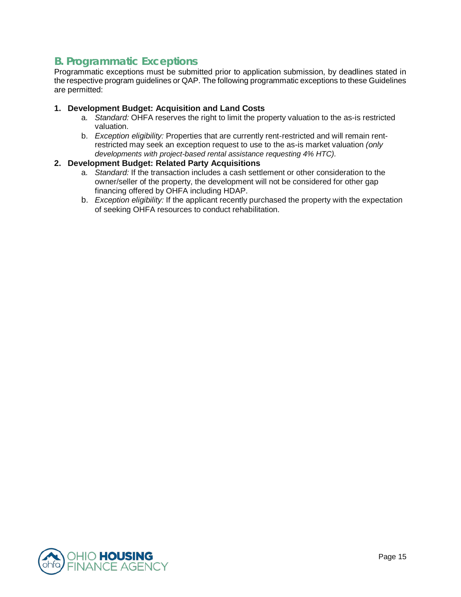# **B. Programmatic Exceptions**

Programmatic exceptions must be submitted prior to application submission, by deadlines stated in the respective program guidelines or QAP. The following programmatic exceptions to these Guidelines are permitted:

#### **1. Development Budget: Acquisition and Land Costs**

- a. *Standard:* OHFA reserves the right to limit the property valuation to the as-is restricted valuation.
- b. *Exception eligibility:* Properties that are currently rent-restricted and will remain rentrestricted may seek an exception request to use to the as-is market valuation *(only developments with project-based rental assistance requesting 4% HTC).*

#### **2. Development Budget: Related Party Acquisitions**

- a. *Standard:* If the transaction includes a cash settlement or other consideration to the owner/seller of the property, the development will not be considered for other gap financing offered by OHFA including HDAP.
- b. *Exception eligibility:* If the applicant recently purchased the property with the expectation of seeking OHFA resources to conduct rehabilitation.

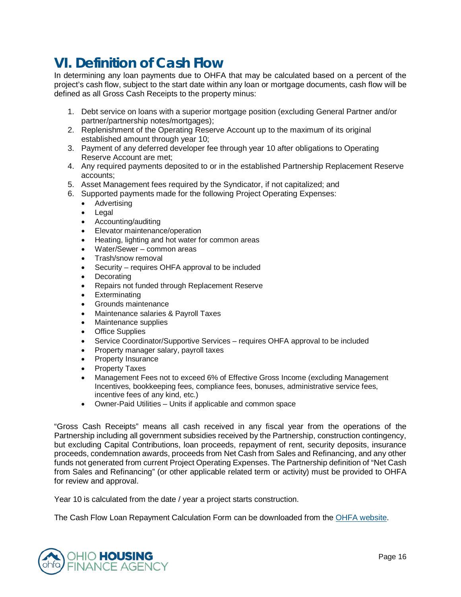# <span id="page-15-0"></span>**VI. Definition of Cash Flow**

In determining any loan payments due to OHFA that may be calculated based on a percent of the project's cash flow, subject to the start date within any loan or mortgage documents, cash flow will be defined as all Gross Cash Receipts to the property minus:

- 1. Debt service on loans with a superior mortgage position (excluding General Partner and/or partner/partnership notes/mortgages);
- 2. Replenishment of the Operating Reserve Account up to the maximum of its original established amount through year 10;
- 3. Payment of any deferred developer fee through year 10 after obligations to Operating Reserve Account are met;
- 4. Any required payments deposited to or in the established Partnership Replacement Reserve accounts;
- 5. Asset Management fees required by the Syndicator, if not capitalized; and
- 6. Supported payments made for the following Project Operating Expenses:
	- Advertising
	- Legal
	- Accounting/auditing
	- Elevator maintenance/operation
	- Heating, lighting and hot water for common areas
	- Water/Sewer common areas
	- Trash/snow removal
	- Security requires OHFA approval to be included
	- Decorating
	- Repairs not funded through Replacement Reserve
	- Exterminating
	- Grounds maintenance
	- Maintenance salaries & Payroll Taxes
	- Maintenance supplies
	- Office Supplies
	- Service Coordinator/Supportive Services requires OHFA approval to be included
	- Property manager salary, payroll taxes
	- Property Insurance
	- Property Taxes
	- Management Fees not to exceed 6% of Effective Gross Income (excluding Management Incentives, bookkeeping fees, compliance fees, bonuses, administrative service fees, incentive fees of any kind, etc.)
	- Owner-Paid Utilities Units if applicable and common space

"Gross Cash Receipts" means all cash received in any fiscal year from the operations of the Partnership including all government subsidies received by the Partnership, construction contingency, but excluding Capital Contributions, loan proceeds, repayment of rent, security deposits, insurance proceeds, condemnation awards, proceeds from Net Cash from Sales and Refinancing, and any other funds not generated from current Project Operating Expenses. The Partnership definition of "Net Cash from Sales and Refinancing" (or other applicable related term or activity) must be provided to OHFA for review and approval.

Year 10 is calculated from the date / year a project starts construction.

The Cash Flow Loan Repayment Calculation Form can be downloaded from the OHFA [website.](http://ohiohome.org/ppd/resources.aspx)

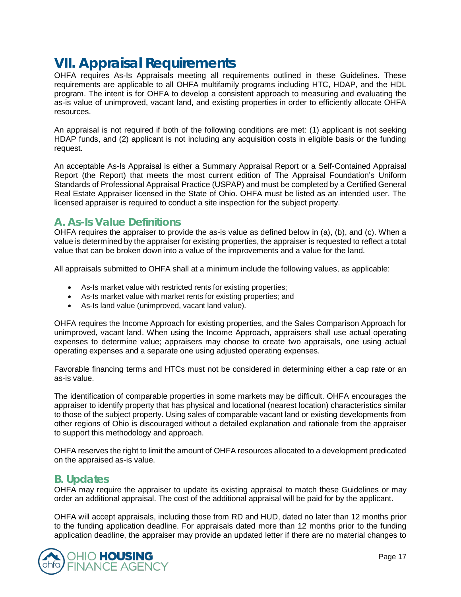# <span id="page-16-0"></span>**VII. Appraisal Requirements**

OHFA requires As-Is Appraisals meeting all requirements outlined in these Guidelines. These requirements are applicable to all OHFA multifamily programs including HTC, HDAP, and the HDL program. The intent is for OHFA to develop a consistent approach to measuring and evaluating the as-is value of unimproved, vacant land, and existing properties in order to efficiently allocate OHFA resources.

An appraisal is not required if both of the following conditions are met: (1) applicant is not seeking HDAP funds, and (2) applicant is not including any acquisition costs in eligible basis or the funding request.

An acceptable As-Is Appraisal is either a Summary Appraisal Report or a Self-Contained Appraisal Report (the Report) that meets the most current edition of The Appraisal Foundation's Uniform Standards of Professional Appraisal Practice (USPAP) and must be completed by a Certified General Real Estate Appraiser licensed in the State of Ohio. OHFA must be listed as an intended user. The licensed appraiser is required to conduct a site inspection for the subject property.

# **A. As-Is Value Definitions**

OHFA requires the appraiser to provide the as-is value as defined below in (a), (b), and (c). When a value is determined by the appraiser for existing properties, the appraiser is requested to reflect a total value that can be broken down into a value of the improvements and a value for the land.

All appraisals submitted to OHFA shall at a minimum include the following values, as applicable:

- As-Is market value with restricted rents for existing properties;
- As-Is market value with market rents for existing properties; and
- As-Is land value (unimproved, vacant land value).

OHFA requires the Income Approach for existing properties, and the Sales Comparison Approach for unimproved, vacant land. When using the Income Approach, appraisers shall use actual operating expenses to determine value; appraisers may choose to create two appraisals, one using actual operating expenses and a separate one using adjusted operating expenses.

Favorable financing terms and HTCs must not be considered in determining either a cap rate or an as-is value.

The identification of comparable properties in some markets may be difficult. OHFA encourages the appraiser to identify property that has physical and locational (nearest location) characteristics similar to those of the subject property. Using sales of comparable vacant land or existing developments from other regions of Ohio is discouraged without a detailed explanation and rationale from the appraiser to support this methodology and approach.

OHFA reserves the right to limit the amount of OHFA resources allocated to a development predicated on the appraised as-is value.

# **B. Updates**

OHFA may require the appraiser to update its existing appraisal to match these Guidelines or may order an additional appraisal. The cost of the additional appraisal will be paid for by the applicant.

OHFA will accept appraisals, including those from RD and HUD, dated no later than 12 months prior to the funding application deadline. For appraisals dated more than 12 months prior to the funding application deadline, the appraiser may provide an updated letter if there are no material changes to

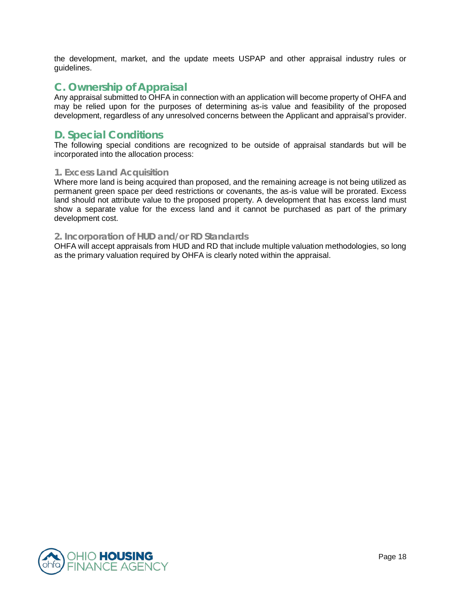the development, market, and the update meets USPAP and other appraisal industry rules or guidelines.

# **C. Ownership of Appraisal**

Any appraisal submitted to OHFA in connection with an application will become property of OHFA and may be relied upon for the purposes of determining as-is value and feasibility of the proposed development, regardless of any unresolved concerns between the Applicant and appraisal's provider.

# **D. Special Conditions**

The following special conditions are recognized to be outside of appraisal standards but will be incorporated into the allocation process:

#### **1. Excess Land Acquisition**

Where more land is being acquired than proposed, and the remaining acreage is not being utilized as permanent green space per deed restrictions or covenants, the as-is value will be prorated. Excess land should not attribute value to the proposed property. A development that has excess land must show a separate value for the excess land and it cannot be purchased as part of the primary development cost.

#### **2. Incorporation of HUD and/or RD Standards**

OHFA will accept appraisals from HUD and RD that include multiple valuation methodologies, so long as the primary valuation required by OHFA is clearly noted within the appraisal.

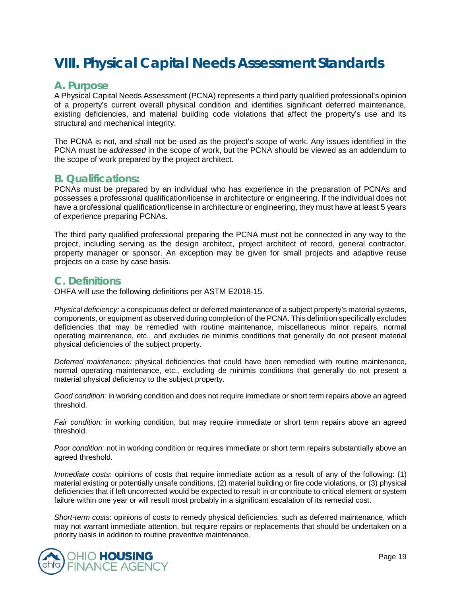# <span id="page-18-0"></span>**VIII. Physical Capital Needs Assessment Standards**

### **A. Purpose**

A Physical Capital Needs Assessment (PCNA) represents a third party qualified professional's opinion of a property's current overall physical condition and identifies significant deferred maintenance, existing deficiencies, and material building code violations that affect the property's use and its structural and mechanical integrity.

The PCNA is not, and shall not be used as the project's scope of work. Any issues identified in the PCNA must be *addressed* in the scope of work, but the PCNA should be viewed as an addendum to the scope of work prepared by the project architect.

### **B. Qualifications:**

PCNAs must be prepared by an individual who has experience in the preparation of PCNAs and possesses a professional qualification/license in architecture or engineering. If the individual does not have a professional qualification/license in architecture or engineering, they must have at least 5 years of experience preparing PCNAs.

The third party qualified professional preparing the PCNA must not be connected in any way to the project, including serving as the design architect, project architect of record, general contractor, property manager or sponsor. An exception may be given for small projects and adaptive reuse projects on a case by case basis.

### **C. Definitions**

OHFA will use the following definitions per ASTM E2018-15.

*Physical deficiency:* a conspicuous defect or deferred maintenance of a subject property's material systems, components, or equipment as observed during completion of the PCNA. This definition specifically excludes deficiencies that may be remedied with routine maintenance, miscellaneous minor repairs, normal operating maintenance, etc., and excludes de minimis conditions that generally do not present material physical deficiencies of the subject property.

*Deferred maintenance:* physical deficiencies that could have been remedied with routine maintenance, normal operating maintenance, etc., excluding de minimis conditions that generally do not present a material physical deficiency to the subject property.

*Good condition:* in working condition and does not require immediate or short term repairs above an agreed threshold.

*Fair condition:* in working condition, but may require immediate or short term repairs above an agreed threshold.

*Poor condition:* not in working condition or requires immediate or short term repairs substantially above an agreed threshold.

*Immediate costs*: opinions of costs that require immediate action as a result of any of the following: (1) material existing or potentially unsafe conditions, (2) material building or fire code violations, or (3) physical deficiencies that if left uncorrected would be expected to result in or contribute to critical element or system failure within one year or will result most probably in a significant escalation of its remedial cost.

*Short-term costs*: opinions of costs to remedy physical deficiencies, such as deferred maintenance, which may not warrant immediate attention, but require repairs or replacements that should be undertaken on a priority basis in addition to routine preventive maintenance.

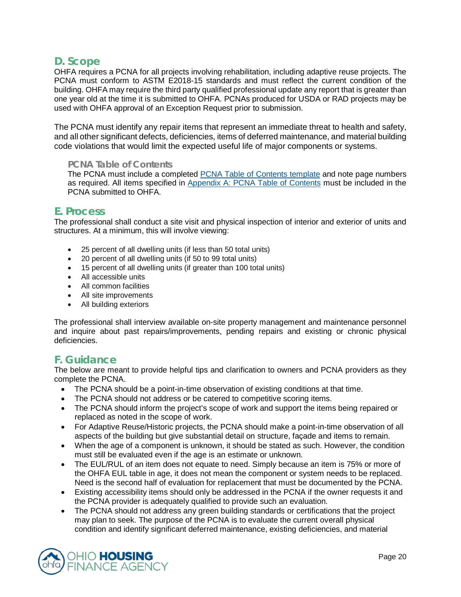# **D. Scope**

OHFA requires a PCNA for all projects involving rehabilitation, including adaptive reuse projects. The PCNA must conform to ASTM E2018-15 standards and must reflect the current condition of the building. OHFA may require the third party qualified professional update any report that is greater than one year old at the time it is submitted to OHFA. PCNAs produced for USDA or RAD projects may be used with OHFA approval of an Exception Request prior to submission.

The PCNA must identify any repair items that represent an immediate threat to health and safety, and all other significant defects, deficiencies, items of deferred maintenance, and material building code violations that would limit the expected useful life of major components or systems.

#### **PCNA Table of Contents**

The PCNA must include a completed **[PCNA Table of Contents template](https://ohiohome.org/ppd/resources.aspx)** and note page numbers as required. All items specified in [Appendix A: PCNA Table of Contents](#page-29-0) must be included in the PCNA submitted to OHFA.

### **E. Process**

The professional shall conduct a site visit and physical inspection of interior and exterior of units and structures. At a minimum, this will involve viewing:

- 25 percent of all dwelling units (if less than 50 total units)
- 20 percent of all dwelling units (if 50 to 99 total units)
- 15 percent of all dwelling units (if greater than 100 total units)
- All accessible units
- All common facilities
- All site improvements
- All building exteriors

The professional shall interview available on-site property management and maintenance personnel and inquire about past repairs/improvements, pending repairs and existing or chronic physical deficiencies.

# **F. Guidance**

The below are meant to provide helpful tips and clarification to owners and PCNA providers as they complete the PCNA.

- The PCNA should be a point-in-time observation of existing conditions at that time.
- The PCNA should not address or be catered to competitive scoring items.
- The PCNA should inform the project's scope of work and support the items being repaired or replaced as noted in the scope of work.
- For Adaptive Reuse/Historic projects, the PCNA should make a point-in-time observation of all aspects of the building but give substantial detail on structure, façade and items to remain.
- When the age of a component is unknown, it should be stated as such. However, the condition must still be evaluated even if the age is an estimate or unknown.
- The EUL/RUL of an item does not equate to need. Simply because an item is 75% or more of the OHFA EUL table in age, it does not mean the component or system needs to be replaced. Need is the second half of evaluation for replacement that must be documented by the PCNA.
- Existing accessibility items should only be addressed in the PCNA if the owner requests it and the PCNA provider is adequately qualified to provide such an evaluation.
- The PCNA should not address any green building standards or certifications that the project may plan to seek. The purpose of the PCNA is to evaluate the current overall physical condition and identify significant deferred maintenance, existing deficiencies, and material

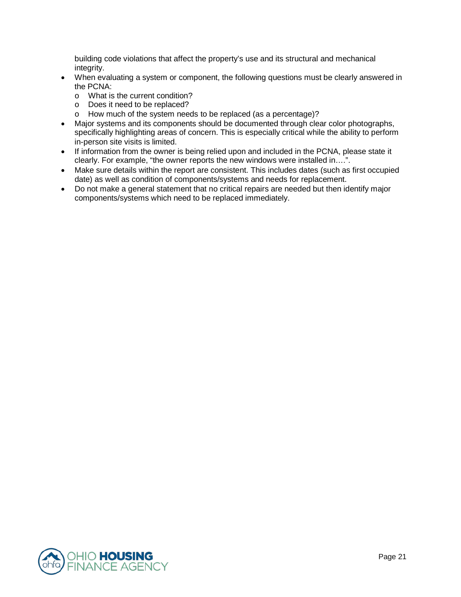building code violations that affect the property's use and its structural and mechanical integrity.

- When evaluating a system or component, the following questions must be clearly answered in the PCNA:
	- o What is the current condition?
	- o Does it need to be replaced?
	- o How much of the system needs to be replaced (as a percentage)?
- Major systems and its components should be documented through clear color photographs, specifically highlighting areas of concern. This is especially critical while the ability to perform in-person site visits is limited.
- If information from the owner is being relied upon and included in the PCNA, please state it clearly. For example, "the owner reports the new windows were installed in….".
- Make sure details within the report are consistent. This includes dates (such as first occupied date) as well as condition of components/systems and needs for replacement.
- Do not make a general statement that no critical repairs are needed but then identify major components/systems which need to be replaced immediately.

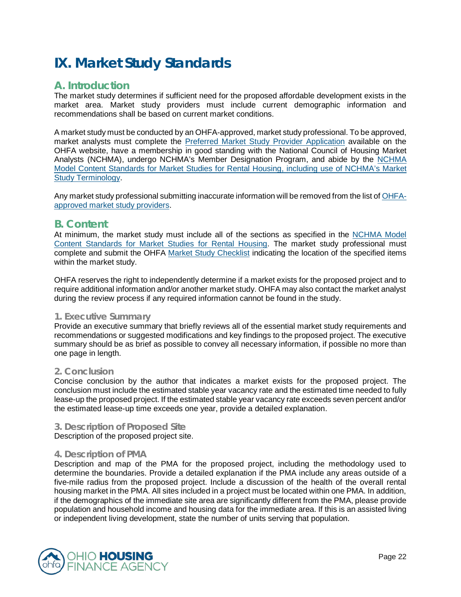# <span id="page-21-0"></span>**IX. Market Study Standards**

# **A. Introduction**

The market study determines if sufficient need for the proposed affordable development exists in the market area. Market study providers must include current demographic information and recommendations shall be based on current market conditions.

A market study must be conducted by an OHFA-approved, market study professional. To be approved, market analysts must complete the [Preferred Market Study Provider Application](https://ohiohome.org/ppd/documents/2020-MarketStudyProviderApplication.pdf) available on the OHFA website, have a membership in good standing with the National Council of Housing Market Analysts (NCHMA), undergo NCHMA's Member Designation Program, and abide by the [NCHMA](https://www.housingonline.com/councils/national-council-housing-market-analysts/model-content-standards/)  [Model Content Standards for Market Studies for Rental Housing,](https://www.housingonline.com/councils/national-council-housing-market-analysts/model-content-standards/) including use of [NCHMA's Market](https://www.housingonline.com/wp-content/uploads/2020/03/Market-Study-Terminology.pdf)  [Study Terminology.](https://www.housingonline.com/wp-content/uploads/2020/03/Market-Study-Terminology.pdf)

Any market study professional submitting inaccurate information will be removed from the list o[f OHFA](https://ohiohome.org/ppd/documents/MarketStudyProviderList.xlsx)[approved market study providers.](https://ohiohome.org/ppd/documents/MarketStudyProviderList.xlsx)

### **B. Content**

At minimum, the market study must include all of the sections as specified in the [NCHMA Model](https://www.housingonline.com/councils/national-council-housing-market-analysts/model-content-standards/)  [Content Standards for Market Studies for Rental Housing.](https://www.housingonline.com/councils/national-council-housing-market-analysts/model-content-standards/) The market study professional must complete and submit the OHFA [Market Study Checklist](https://ohiohome.org/ppd/documents/MarketStudyChecklist.pdf) indicating the location of the specified items within the market study.

OHFA reserves the right to independently determine if a market exists for the proposed project and to require additional information and/or another market study. OHFA may also contact the market analyst during the review process if any required information cannot be found in the study.

#### **1. Executive Summary**

Provide an executive summary that briefly reviews all of the essential market study requirements and recommendations or suggested modifications and key findings to the proposed project. The executive summary should be as brief as possible to convey all necessary information, if possible no more than one page in length.

#### **2. Conclusion**

Concise conclusion by the author that indicates a market exists for the proposed project. The conclusion must include the estimated stable year vacancy rate and the estimated time needed to fully lease-up the proposed project. If the estimated stable year vacancy rate exceeds seven percent and/or the estimated lease-up time exceeds one year, provide a detailed explanation.

#### **3. Description of Proposed Site**

Description of the proposed project site.

#### **4. Description of PMA**

Description and map of the PMA for the proposed project, including the methodology used to determine the boundaries. Provide a detailed explanation if the PMA include any areas outside of a five-mile radius from the proposed project. Include a discussion of the health of the overall rental housing market in the PMA. All sites included in a project must be located within one PMA. In addition, if the demographics of the immediate site area are significantly different from the PMA, please provide population and household income and housing data for the immediate area. If this is an assisted living or independent living development, state the number of units serving that population.

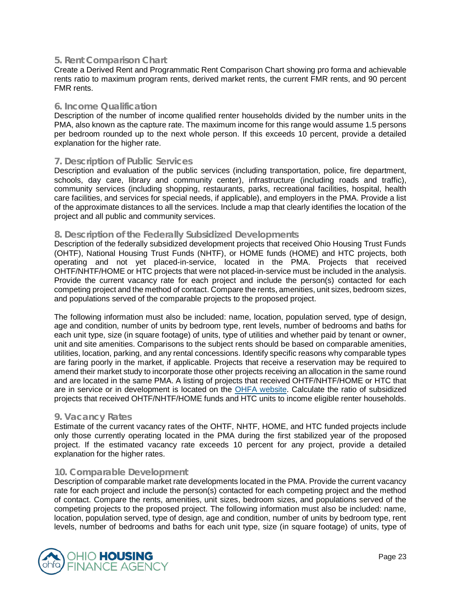#### **5. Rent Comparison Chart**

Create a Derived Rent and Programmatic Rent Comparison Chart showing pro forma and achievable rents ratio to maximum program rents, derived market rents, the current FMR rents, and 90 percent FMR rents.

#### **6. Income Qualification**

Description of the number of income qualified renter households divided by the number units in the PMA, also known as the capture rate. The maximum income for this range would assume 1.5 persons per bedroom rounded up to the next whole person. If this exceeds 10 percent, provide a detailed explanation for the higher rate.

#### **7. Description of Public Services**

Description and evaluation of the public services (including transportation, police, fire department, schools, day care, library and community center), infrastructure (including roads and traffic), community services (including shopping, restaurants, parks, recreational facilities, hospital, health care facilities, and services for special needs, if applicable), and employers in the PMA. Provide a list of the approximate distances to all the services. Include a map that clearly identifies the location of the project and all public and community services.

#### **8. Description of the Federally Subsidized Developments**

Description of the federally subsidized development projects that received Ohio Housing Trust Funds (OHTF), National Housing Trust Funds (NHTF), or HOME funds (HOME) and HTC projects, both operating and not yet placed-in-service, located in the PMA. Projects that received OHTF/NHTF/HOME or HTC projects that were not placed-in-service must be included in the analysis. Provide the current vacancy rate for each project and include the person(s) contacted for each competing project and the method of contact. Compare the rents, amenities, unit sizes, bedroom sizes, and populations served of the comparable projects to the proposed project.

The following information must also be included: name, location, population served, type of design, age and condition, number of units by bedroom type, rent levels, number of bedrooms and baths for each unit type, size (in square footage) of units, type of utilities and whether paid by tenant or owner, unit and site amenities. Comparisons to the subject rents should be based on comparable amenities, utilities, location, parking, and any rental concessions. Identify specific reasons why comparable types are faring poorly in the market, if applicable. Projects that receive a reservation may be required to amend their market study to incorporate those other projects receiving an allocation in the same round and are located in the same PMA. A listing of projects that received OHTF/NHTF/HOME or HTC that are in service or in development is located on the [OHFA website.](http://ohiohome.org/ppd/funding.aspx) Calculate the ratio of subsidized projects that received OHTF/NHTF/HOME funds and HTC units to income eligible renter households.

#### **9. Vacancy Rates**

Estimate of the current vacancy rates of the OHTF, NHTF, HOME, and HTC funded projects include only those currently operating located in the PMA during the first stabilized year of the proposed project. If the estimated vacancy rate exceeds 10 percent for any project, provide a detailed explanation for the higher rates.

#### **10. Comparable Development**

Description of comparable market rate developments located in the PMA. Provide the current vacancy rate for each project and include the person(s) contacted for each competing project and the method of contact. Compare the rents, amenities, unit sizes, bedroom sizes, and populations served of the competing projects to the proposed project. The following information must also be included: name, location, population served, type of design, age and condition, number of units by bedroom type, rent levels, number of bedrooms and baths for each unit type, size (in square footage) of units, type of

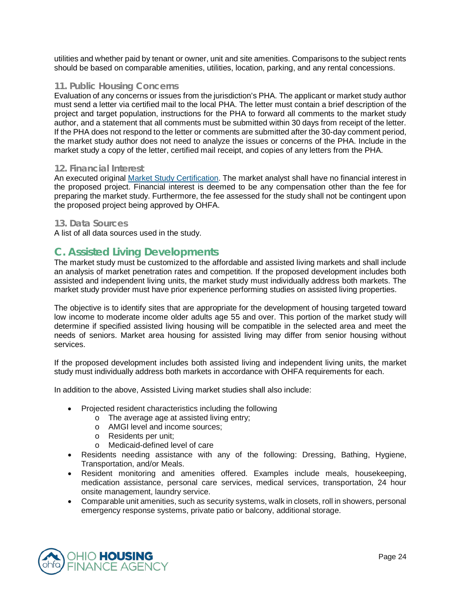utilities and whether paid by tenant or owner, unit and site amenities. Comparisons to the subject rents should be based on comparable amenities, utilities, location, parking, and any rental concessions.

#### **11. Public Housing Concerns**

Evaluation of any concerns or issues from the jurisdiction's PHA. The applicant or market study author must send a letter via certified mail to the local PHA. The letter must contain a brief description of the project and target population, instructions for the PHA to forward all comments to the market study author, and a statement that all comments must be submitted within 30 days from receipt of the letter. If the PHA does not respond to the letter or comments are submitted after the 30-day comment period, the market study author does not need to analyze the issues or concerns of the PHA. Include in the market study a copy of the letter, certified mail receipt, and copies of any letters from the PHA.

#### **12. Financial Interest**

An executed original [Market Study Certification.](https://ohiohome.org/ppd/documents/2020-MarketStudyCertification.pdf) The market analyst shall have no financial interest in the proposed project. Financial interest is deemed to be any compensation other than the fee for preparing the market study. Furthermore, the fee assessed for the study shall not be contingent upon the proposed project being approved by OHFA.

#### **13. Data Sources**

A list of all data sources used in the study.

# **C. Assisted Living Developments**

The market study must be customized to the affordable and assisted living markets and shall include an analysis of market penetration rates and competition. If the proposed development includes both assisted and independent living units, the market study must individually address both markets. The market study provider must have prior experience performing studies on assisted living properties.

The objective is to identify sites that are appropriate for the development of housing targeted toward low income to moderate income older adults age 55 and over. This portion of the market study will determine if specified assisted living housing will be compatible in the selected area and meet the needs of seniors. Market area housing for assisted living may differ from senior housing without services.

If the proposed development includes both assisted living and independent living units, the market study must individually address both markets in accordance with OHFA requirements for each.

In addition to the above, Assisted Living market studies shall also include:

- Projected resident characteristics including the following
	- o The average age at assisted living entry;
	- o AMGI level and income sources;
	- o Residents per unit;
	- o Medicaid-defined level of care
- Residents needing assistance with any of the following: Dressing, Bathing, Hygiene, Transportation, and/or Meals.
- Resident monitoring and amenities offered. Examples include meals, housekeeping, medication assistance, personal care services, medical services, transportation, 24 hour onsite management, laundry service.
- Comparable unit amenities, such as security systems, walk in closets, roll in showers, personal emergency response systems, private patio or balcony, additional storage.

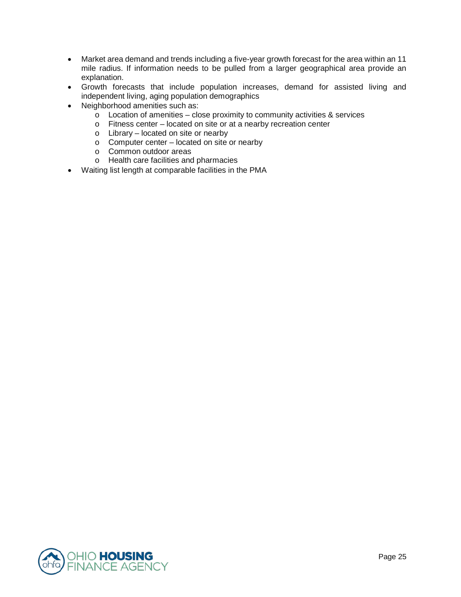- Market area demand and trends including a five-year growth forecast for the area within an 11 mile radius. If information needs to be pulled from a larger geographical area provide an explanation.
- Growth forecasts that include population increases, demand for assisted living and independent living, aging population demographics
- Neighborhood amenities such as:
	- $\circ$  Location of amenities close proximity to community activities & services
	- o Fitness center located on site or at a nearby recreation center
	- o Library located on site or nearby
	- o Computer center located on site or nearby
	- o Common outdoor areas
	- o Health care facilities and pharmacies
- Waiting list length at comparable facilities in the PMA

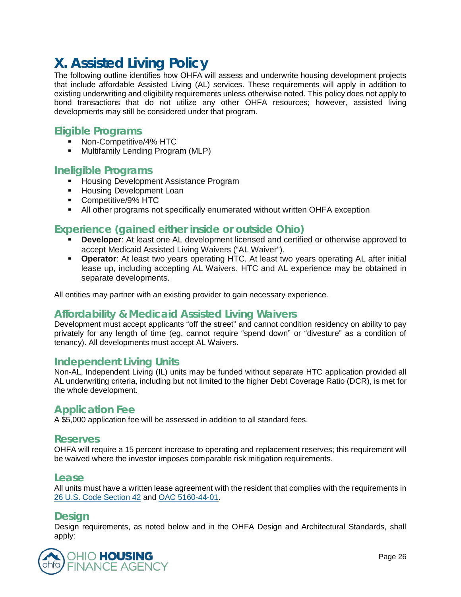# <span id="page-25-0"></span>**X. Assisted Living Policy**

The following outline identifies how OHFA will assess and underwrite housing development projects that include affordable Assisted Living (AL) services. These requirements will apply in addition to existing underwriting and eligibility requirements unless otherwise noted. This policy does not apply to bond transactions that do not utilize any other OHFA resources; however, assisted living developments may still be considered under that program.

# **Eligible Programs**

- Non-Competitive/4% HTC
- **Multifamily Lending Program (MLP)**

# **Ineligible Programs**

- **Housing Development Assistance Program**
- **Housing Development Loan**
- **Competitive/9% HTC**
- All other programs not specifically enumerated without written OHFA exception

# **Experience (gained either inside or outside Ohio)**

- **Developer**: At least one AL development licensed and certified or otherwise approved to accept Medicaid Assisted Living Waivers ("AL Waiver").
- **Operator**: At least two years operating HTC. At least two years operating AL after initial lease up, including accepting AL Waivers. HTC and AL experience may be obtained in separate developments.

All entities may partner with an existing provider to gain necessary experience.

# **Affordability & Medicaid Assisted Living Waivers**

Development must accept applicants "off the street" and cannot condition residency on ability to pay privately for any length of time (eg. cannot require "spend down" or "divesture" as a condition of tenancy). All developments must accept AL Waivers.

### **Independent Living Units**

Non-AL, Independent Living (IL) units may be funded without separate HTC application provided all AL underwriting criteria, including but not limited to the higher Debt Coverage Ratio (DCR), is met for the whole development.

# **Application Fee**

A \$5,000 application fee will be assessed in addition to all standard fees.

### **Reserves**

OHFA will require a 15 percent increase to operating and replacement reserves; this requirement will be waived where the investor imposes comparable risk mitigation requirements.

#### **Lease**

All units must have a written lease agreement with the resident that complies with the requirements in [26 U.S. Code Section 42](https://www.law.cornell.edu/uscode/text/26/42) and [OAC 5160-44-01.](http://codes.ohio.gov/oac/5160-44-01v1)

### **Design**

Design requirements, as noted below and in the OHFA Design and Architectural Standards, shall apply:

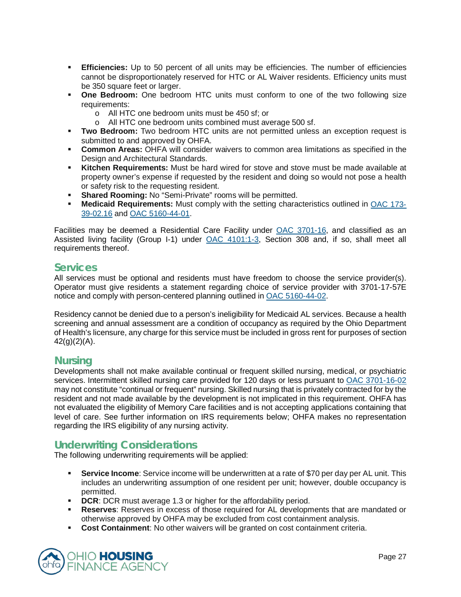- **Efficiencies:** Up to 50 percent of all units may be efficiencies. The number of efficiencies cannot be disproportionately reserved for HTC or AL Waiver residents. Efficiency units must be 350 square feet or larger.
- **One Bedroom:** One bedroom HTC units must conform to one of the two following size requirements:
	- o All HTC one bedroom units must be 450 sf; or
	- o All HTC one bedroom units combined must average 500 sf.
- **Two Bedroom:** Two bedroom HTC units are not permitted unless an exception request is submitted to and approved by OHFA.
- **Common Areas:** OHFA will consider waivers to common area limitations as specified in the Design and Architectural Standards.
- **Kitchen Requirements:** Must be hard wired for stove and stove must be made available at property owner's expense if requested by the resident and doing so would not pose a health or safety risk to the requesting resident.
- **Shared Rooming: No "Semi-Private" rooms will be permitted.**
- **Medicaid Requirements:** Must comply with the setting characteristics outlined in [OAC](http://codes.ohio.gov/oac/173-39-02.16) 173- [39-02.16](http://codes.ohio.gov/oac/173-39-02.16) and [OAC 5160-44-01.](http://codes.ohio.gov/oac/5160-44-01v1)

Facilities may be deemed a Residential Care Facility under [OAC 3701-16,](http://codes.ohio.gov/oac/3701-16) and classified as an Assisted living facility (Group I-1) under [OAC 4101:1-3,](http://codes.ohio.gov/oac/4101:1-3) Section 308 and, if so, shall meet all requirements thereof.

### **Services**

All services must be optional and residents must have freedom to choose the service provider(s). Operator must give residents a statement regarding choice of service provider with 3701-17-57E notice and comply with person-centered planning outlined in [OAC 5160-44-02.](http://codes.ohio.gov/oac/5160-44-02)

Residency cannot be denied due to a person's ineligibility for Medicaid AL services. Because a health screening and annual assessment are a condition of occupancy as required by the Ohio Department of Health's licensure, any charge for this service must be included in gross rent for purposes of section  $42(q)(2)(A)$ .

### **Nursing**

Developments shall not make available continual or frequent skilled nursing, medical, or psychiatric services. Intermittent skilled nursing care provided for 120 days or less pursuant to [OAC 3701-16-02](http://codes.ohio.gov/oac/3701-16-02) may not constitute "continual or frequent" nursing. Skilled nursing that is privately contracted for by the resident and not made available by the development is not implicated in this requirement. OHFA has not evaluated the eligibility of Memory Care facilities and is not accepting applications containing that level of care. See further information on IRS requirements below; OHFA makes no representation regarding the IRS eligibility of any nursing activity.

# **Underwriting Considerations**

The following underwriting requirements will be applied:

- **Service Income**: Service income will be underwritten at a rate of \$70 per day per AL unit. This includes an underwriting assumption of one resident per unit; however, double occupancy is permitted.
- **DCR: DCR** must average 1.3 or higher for the affordability period.
- **Reserves**: Reserves in excess of those required for AL developments that are mandated or otherwise approved by OHFA may be excluded from cost containment analysis.
- **Cost Containment**: No other waivers will be granted on cost containment criteria.

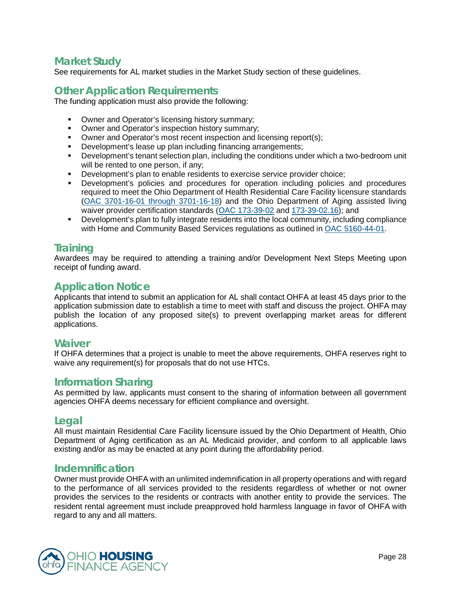# **Market Study**

See requirements for AL market studies in the Market Study section of these guidelines.

# **Other Application Requirements**

The funding application must also provide the following:

- **Owner and Operator's licensing history summary;**
- **Owner and Operator's inspection history summary;**
- Owner and Operator's most recent inspection and licensing report(s);
- Development's lease up plan including financing arrangements;
- Development's tenant selection plan, including the conditions under which a two-bedroom unit will be rented to one person, if any;
- **Development's plan to enable residents to exercise service provider choice;**
- Development's policies and procedures for operation including policies and procedures required to meet the Ohio Department of Health Residential Care Facility licensure standards (OAC 3701-16-01 [through 3701-16-18\)](http://codes.ohio.gov/oac/3701-16) and the Ohio Department of Aging assisted living waiver provider certification standards [\(OAC 173-39-02](http://codes.ohio.gov/oac/173-39-02v2) and [173-39-02.16\)](http://codes.ohio.gov/oac/173-39-02.16); and
- **•** Development's plan to fully integrate residents into the local community, including compliance with Home and Community Based Services regulations as outlined in [OAC 5160-44-01.](http://codes.ohio.gov/oac/5160-44-01v1)

# **Training**

Awardees may be required to attending a training and/or Development Next Steps Meeting upon receipt of funding award.

# **Application Notice**

Applicants that intend to submit an application for AL shall contact OHFA at least 45 days prior to the application submission date to establish a time to meet with staff and discuss the project. OHFA may publish the location of any proposed site(s) to prevent overlapping market areas for different applications.

### **Waiver**

If OHFA determines that a project is unable to meet the above requirements, OHFA reserves right to waive any requirement(s) for proposals that do not use HTCs.

### **Information Sharing**

As permitted by law, applicants must consent to the sharing of information between all government agencies OHFA deems necessary for efficient compliance and oversight.

### **Legal**

All must maintain Residential Care Facility licensure issued by the Ohio Department of Health, Ohio Department of Aging certification as an AL Medicaid provider, and conform to all applicable laws existing and/or as may be enacted at any point during the affordability period.

### **Indemnification**

Owner must provide OHFA with an unlimited indemnification in all property operations and with regard to the performance of all services provided to the residents regardless of whether or not owner provides the services to the residents or contracts with another entity to provide the services. The resident rental agreement must include preapproved hold harmless language in favor of OHFA with regard to any and all matters.

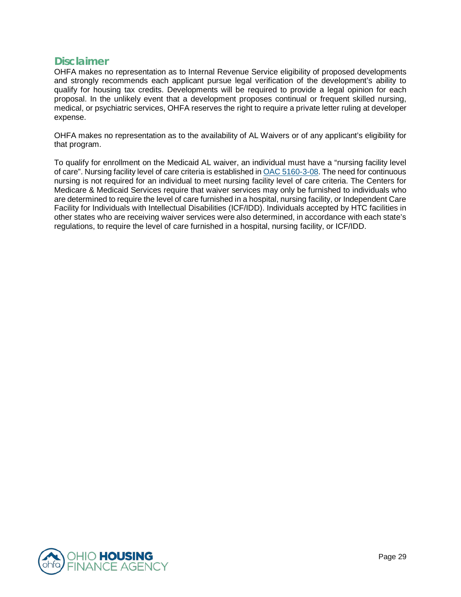### **Disclaimer**

OHFA makes no representation as to Internal Revenue Service eligibility of proposed developments and strongly recommends each applicant pursue legal verification of the development's ability to qualify for housing tax credits. Developments will be required to provide a legal opinion for each proposal. In the unlikely event that a development proposes continual or frequent skilled nursing, medical, or psychiatric services, OHFA reserves the right to require a private letter ruling at developer expense.

OHFA makes no representation as to the availability of AL Waivers or of any applicant's eligibility for that program.

To qualify for enrollment on the Medicaid AL waiver, an individual must have a "nursing facility level of care". Nursing facility level of care criteria is established in [OAC 5160-3-08.](http://codes.ohio.gov/oac/5160-3-08) The need for continuous nursing is not required for an individual to meet nursing facility level of care criteria. The Centers for Medicare & Medicaid Services require that waiver services may only be furnished to individuals who are determined to require the level of care furnished in a hospital, nursing facility, or Independent Care Facility for Individuals with Intellectual Disabilities (ICF/IDD). Individuals accepted by HTC facilities in other states who are receiving waiver services were also determined, in accordance with each state's regulations, to require the level of care furnished in a hospital, nursing facility, or ICF/IDD.

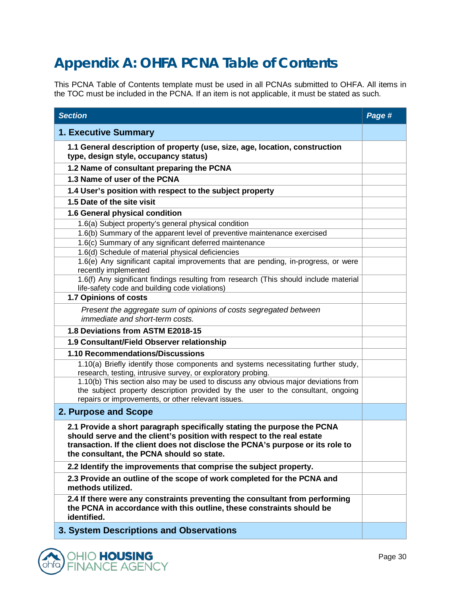# <span id="page-29-0"></span>**Appendix A: OHFA PCNA Table of Contents**

This PCNA Table of Contents template must be used in all PCNAs submitted to OHFA. All items in the TOC must be included in the PCNA. If an item is not applicable, it must be stated as such.

| <b>Section</b>                                                                                                                                                                                                                                                                   | Page # |
|----------------------------------------------------------------------------------------------------------------------------------------------------------------------------------------------------------------------------------------------------------------------------------|--------|
| <b>1. Executive Summary</b>                                                                                                                                                                                                                                                      |        |
| 1.1 General description of property (use, size, age, location, construction<br>type, design style, occupancy status)                                                                                                                                                             |        |
| 1.2 Name of consultant preparing the PCNA                                                                                                                                                                                                                                        |        |
| 1.3 Name of user of the PCNA                                                                                                                                                                                                                                                     |        |
| 1.4 User's position with respect to the subject property                                                                                                                                                                                                                         |        |
| 1.5 Date of the site visit                                                                                                                                                                                                                                                       |        |
| 1.6 General physical condition                                                                                                                                                                                                                                                   |        |
| 1.6(a) Subject property's general physical condition                                                                                                                                                                                                                             |        |
| 1.6(b) Summary of the apparent level of preventive maintenance exercised                                                                                                                                                                                                         |        |
| 1.6(c) Summary of any significant deferred maintenance<br>1.6(d) Schedule of material physical deficiencies                                                                                                                                                                      |        |
| 1.6(e) Any significant capital improvements that are pending, in-progress, or were                                                                                                                                                                                               |        |
| recently implemented                                                                                                                                                                                                                                                             |        |
| 1.6(f) Any significant findings resulting from research (This should include material<br>life-safety code and building code violations)                                                                                                                                          |        |
| 1.7 Opinions of costs                                                                                                                                                                                                                                                            |        |
| Present the aggregate sum of opinions of costs segregated between<br>immediate and short-term costs.                                                                                                                                                                             |        |
| 1.8 Deviations from ASTM E2018-15                                                                                                                                                                                                                                                |        |
| 1.9 Consultant/Field Observer relationship                                                                                                                                                                                                                                       |        |
| 1.10 Recommendations/Discussions                                                                                                                                                                                                                                                 |        |
| 1.10(a) Briefly identify those components and systems necessitating further study,<br>research, testing, intrusive survey, or exploratory probing.                                                                                                                               |        |
| 1.10(b) This section also may be used to discuss any obvious major deviations from<br>the subject property description provided by the user to the consultant, ongoing<br>repairs or improvements, or other relevant issues.                                                     |        |
| 2. Purpose and Scope                                                                                                                                                                                                                                                             |        |
| 2.1 Provide a short paragraph specifically stating the purpose the PCNA<br>should serve and the client's position with respect to the real estate<br>transaction. If the client does not disclose the PCNA's purpose or its role to<br>the consultant, the PCNA should so state. |        |
| 2.2 Identify the improvements that comprise the subject property.                                                                                                                                                                                                                |        |
| 2.3 Provide an outline of the scope of work completed for the PCNA and<br>methods utilized.                                                                                                                                                                                      |        |
| 2.4 If there were any constraints preventing the consultant from performing<br>the PCNA in accordance with this outline, these constraints should be<br>identified.                                                                                                              |        |
| 3. System Descriptions and Observations                                                                                                                                                                                                                                          |        |

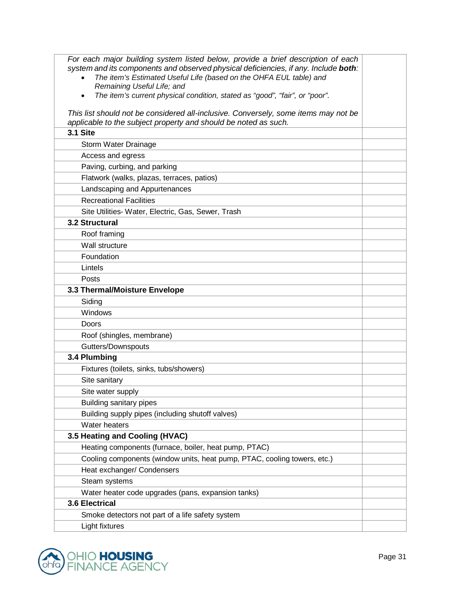| For each major building system listed below, provide a brief description of each<br>system and its components and observed physical deficiencies, if any. Include both:<br>The item's Estimated Useful Life (based on the OHFA EUL table) and<br>$\bullet$<br>Remaining Useful Life; and<br>The item's current physical condition, stated as "good", "fair", or "poor".<br>$\bullet$ |  |
|--------------------------------------------------------------------------------------------------------------------------------------------------------------------------------------------------------------------------------------------------------------------------------------------------------------------------------------------------------------------------------------|--|
| This list should not be considered all-inclusive. Conversely, some items may not be<br>applicable to the subject property and should be noted as such.                                                                                                                                                                                                                               |  |
| <b>3.1 Site</b>                                                                                                                                                                                                                                                                                                                                                                      |  |
| Storm Water Drainage                                                                                                                                                                                                                                                                                                                                                                 |  |
| Access and egress                                                                                                                                                                                                                                                                                                                                                                    |  |
| Paving, curbing, and parking                                                                                                                                                                                                                                                                                                                                                         |  |
| Flatwork (walks, plazas, terraces, patios)                                                                                                                                                                                                                                                                                                                                           |  |
| Landscaping and Appurtenances                                                                                                                                                                                                                                                                                                                                                        |  |
| <b>Recreational Facilities</b>                                                                                                                                                                                                                                                                                                                                                       |  |
| Site Utilities- Water, Electric, Gas, Sewer, Trash                                                                                                                                                                                                                                                                                                                                   |  |
| 3.2 Structural                                                                                                                                                                                                                                                                                                                                                                       |  |
| Roof framing                                                                                                                                                                                                                                                                                                                                                                         |  |
| Wall structure                                                                                                                                                                                                                                                                                                                                                                       |  |
| Foundation                                                                                                                                                                                                                                                                                                                                                                           |  |
| Lintels                                                                                                                                                                                                                                                                                                                                                                              |  |
| Posts                                                                                                                                                                                                                                                                                                                                                                                |  |
| 3.3 Thermal/Moisture Envelope                                                                                                                                                                                                                                                                                                                                                        |  |
| Siding                                                                                                                                                                                                                                                                                                                                                                               |  |
| Windows                                                                                                                                                                                                                                                                                                                                                                              |  |
| Doors                                                                                                                                                                                                                                                                                                                                                                                |  |
| Roof (shingles, membrane)                                                                                                                                                                                                                                                                                                                                                            |  |
| Gutters/Downspouts                                                                                                                                                                                                                                                                                                                                                                   |  |
| 3.4 Plumbing                                                                                                                                                                                                                                                                                                                                                                         |  |
| Fixtures (toilets, sinks, tubs/showers)                                                                                                                                                                                                                                                                                                                                              |  |
| Site sanitary                                                                                                                                                                                                                                                                                                                                                                        |  |
| Site water supply                                                                                                                                                                                                                                                                                                                                                                    |  |
| <b>Building sanitary pipes</b>                                                                                                                                                                                                                                                                                                                                                       |  |
| Building supply pipes (including shutoff valves)                                                                                                                                                                                                                                                                                                                                     |  |
| Water heaters                                                                                                                                                                                                                                                                                                                                                                        |  |
| 3.5 Heating and Cooling (HVAC)                                                                                                                                                                                                                                                                                                                                                       |  |
| Heating components (furnace, boiler, heat pump, PTAC)                                                                                                                                                                                                                                                                                                                                |  |
| Cooling components (window units, heat pump, PTAC, cooling towers, etc.)                                                                                                                                                                                                                                                                                                             |  |
| Heat exchanger/ Condensers                                                                                                                                                                                                                                                                                                                                                           |  |
| Steam systems                                                                                                                                                                                                                                                                                                                                                                        |  |
| Water heater code upgrades (pans, expansion tanks)                                                                                                                                                                                                                                                                                                                                   |  |
| 3.6 Electrical                                                                                                                                                                                                                                                                                                                                                                       |  |
| Smoke detectors not part of a life safety system                                                                                                                                                                                                                                                                                                                                     |  |
| Light fixtures                                                                                                                                                                                                                                                                                                                                                                       |  |

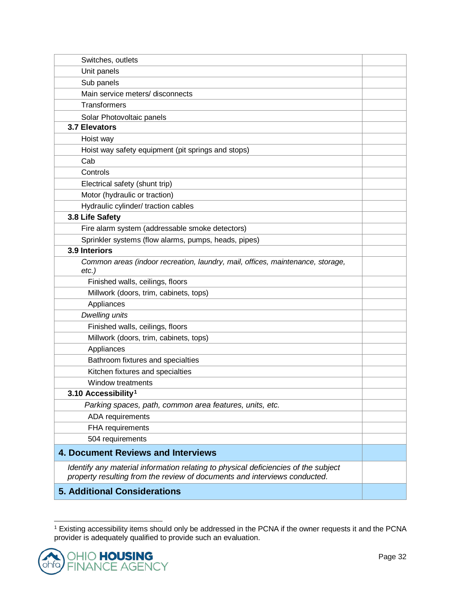| Switches, outlets                                                                                                                                               |  |
|-----------------------------------------------------------------------------------------------------------------------------------------------------------------|--|
| Unit panels                                                                                                                                                     |  |
| Sub panels                                                                                                                                                      |  |
| Main service meters/ disconnects                                                                                                                                |  |
| <b>Transformers</b>                                                                                                                                             |  |
| Solar Photovoltaic panels                                                                                                                                       |  |
| <b>3.7 Elevators</b>                                                                                                                                            |  |
| Hoist way                                                                                                                                                       |  |
| Hoist way safety equipment (pit springs and stops)                                                                                                              |  |
| Cab                                                                                                                                                             |  |
| Controls                                                                                                                                                        |  |
| Electrical safety (shunt trip)                                                                                                                                  |  |
| Motor (hydraulic or traction)                                                                                                                                   |  |
| Hydraulic cylinder/ traction cables                                                                                                                             |  |
| 3.8 Life Safety                                                                                                                                                 |  |
| Fire alarm system (addressable smoke detectors)                                                                                                                 |  |
| Sprinkler systems (flow alarms, pumps, heads, pipes)                                                                                                            |  |
| 3.9 Interiors                                                                                                                                                   |  |
| Common areas (indoor recreation, laundry, mail, offices, maintenance, storage,<br>$etc.$ )                                                                      |  |
| Finished walls, ceilings, floors                                                                                                                                |  |
| Millwork (doors, trim, cabinets, tops)                                                                                                                          |  |
| Appliances                                                                                                                                                      |  |
| <b>Dwelling units</b>                                                                                                                                           |  |
| Finished walls, ceilings, floors                                                                                                                                |  |
| Millwork (doors, trim, cabinets, tops)                                                                                                                          |  |
| Appliances                                                                                                                                                      |  |
| Bathroom fixtures and specialties                                                                                                                               |  |
| Kitchen fixtures and specialties                                                                                                                                |  |
| Window treatments                                                                                                                                               |  |
| 3.10 Accessibility <sup>1</sup>                                                                                                                                 |  |
| Parking spaces, path, common area features, units, etc.                                                                                                         |  |
| ADA requirements                                                                                                                                                |  |
| FHA requirements                                                                                                                                                |  |
| 504 requirements                                                                                                                                                |  |
| <b>4. Document Reviews and Interviews</b>                                                                                                                       |  |
| Identify any material information relating to physical deficiencies of the subject<br>property resulting from the review of documents and interviews conducted. |  |
| <b>5. Additional Considerations</b>                                                                                                                             |  |

<span id="page-31-0"></span><sup>1</sup> Existing accessibility items should only be addressed in the PCNA if the owner requests it and the PCNA provider is adequately qualified to provide such an evaluation.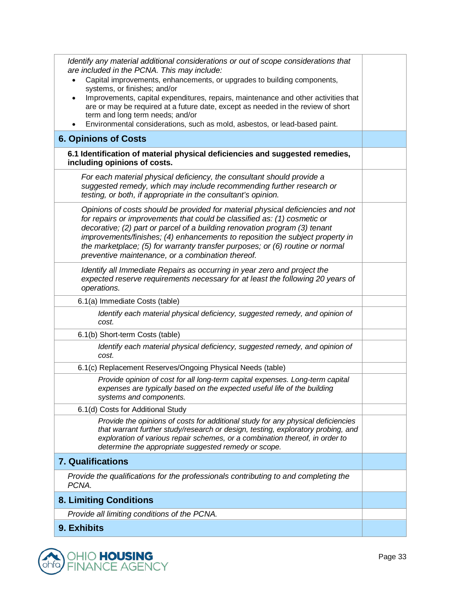| Identify any material additional considerations or out of scope considerations that<br>are included in the PCNA. This may include:<br>Capital improvements, enhancements, or upgrades to building components,<br>systems, or finishes; and/or<br>Improvements, capital expenditures, repairs, maintenance and other activities that<br>$\bullet$<br>are or may be required at a future date, except as needed in the review of short<br>term and long term needs; and/or<br>Environmental considerations, such as mold, asbestos, or lead-based paint. |  |
|--------------------------------------------------------------------------------------------------------------------------------------------------------------------------------------------------------------------------------------------------------------------------------------------------------------------------------------------------------------------------------------------------------------------------------------------------------------------------------------------------------------------------------------------------------|--|
| <b>6. Opinions of Costs</b>                                                                                                                                                                                                                                                                                                                                                                                                                                                                                                                            |  |
| 6.1 Identification of material physical deficiencies and suggested remedies,<br>including opinions of costs.                                                                                                                                                                                                                                                                                                                                                                                                                                           |  |
| For each material physical deficiency, the consultant should provide a<br>suggested remedy, which may include recommending further research or<br>testing, or both, if appropriate in the consultant's opinion.                                                                                                                                                                                                                                                                                                                                        |  |
| Opinions of costs should be provided for material physical deficiencies and not<br>for repairs or improvements that could be classified as: (1) cosmetic or<br>decorative; (2) part or parcel of a building renovation program (3) tenant<br>improvements/finishes; (4) enhancements to reposition the subject property in<br>the marketplace; (5) for warranty transfer purposes; or (6) routine or normal<br>preventive maintenance, or a combination thereof.                                                                                       |  |
| Identify all Immediate Repairs as occurring in year zero and project the<br>expected reserve requirements necessary for at least the following 20 years of<br>operations.                                                                                                                                                                                                                                                                                                                                                                              |  |
| 6.1(a) Immediate Costs (table)                                                                                                                                                                                                                                                                                                                                                                                                                                                                                                                         |  |
| Identify each material physical deficiency, suggested remedy, and opinion of<br>cost.                                                                                                                                                                                                                                                                                                                                                                                                                                                                  |  |
| 6.1(b) Short-term Costs (table)                                                                                                                                                                                                                                                                                                                                                                                                                                                                                                                        |  |
| Identify each material physical deficiency, suggested remedy, and opinion of<br>cost.                                                                                                                                                                                                                                                                                                                                                                                                                                                                  |  |
| 6.1(c) Replacement Reserves/Ongoing Physical Needs (table)                                                                                                                                                                                                                                                                                                                                                                                                                                                                                             |  |
| Provide opinion of cost for all long-term capital expenses. Long-term capital<br>expenses are typically based on the expected useful life of the building<br>systems and components.                                                                                                                                                                                                                                                                                                                                                                   |  |
| 6.1(d) Costs for Additional Study                                                                                                                                                                                                                                                                                                                                                                                                                                                                                                                      |  |
| Provide the opinions of costs for additional study for any physical deficiencies<br>that warrant further study/research or design, testing, exploratory probing, and<br>exploration of various repair schemes, or a combination thereof, in order to<br>determine the appropriate suggested remedy or scope.                                                                                                                                                                                                                                           |  |
| <b>7. Qualifications</b>                                                                                                                                                                                                                                                                                                                                                                                                                                                                                                                               |  |
| Provide the qualifications for the professionals contributing to and completing the<br>PCNA.                                                                                                                                                                                                                                                                                                                                                                                                                                                           |  |
| <b>8. Limiting Conditions</b>                                                                                                                                                                                                                                                                                                                                                                                                                                                                                                                          |  |
| Provide all limiting conditions of the PCNA.                                                                                                                                                                                                                                                                                                                                                                                                                                                                                                           |  |
| 9. Exhibits                                                                                                                                                                                                                                                                                                                                                                                                                                                                                                                                            |  |

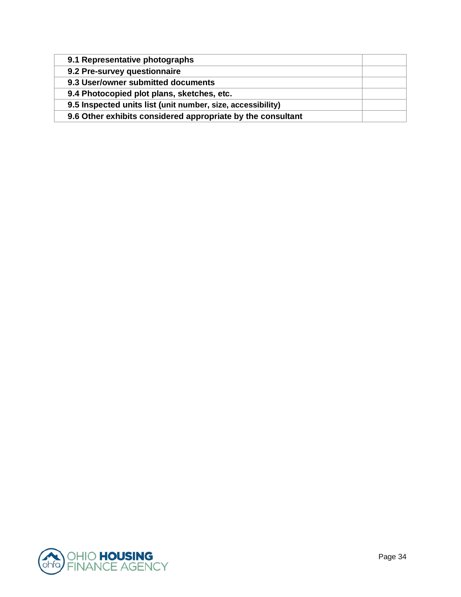| 9.1 Representative photographs                              |  |
|-------------------------------------------------------------|--|
| 9.2 Pre-survey questionnaire                                |  |
| 9.3 User/owner submitted documents                          |  |
| 9.4 Photocopied plot plans, sketches, etc.                  |  |
| 9.5 Inspected units list (unit number, size, accessibility) |  |
| 9.6 Other exhibits considered appropriate by the consultant |  |

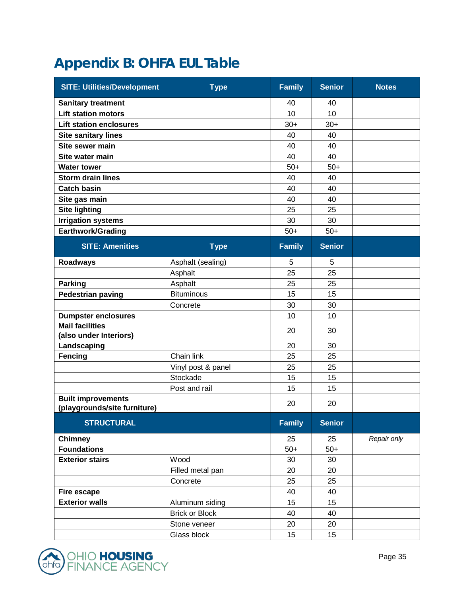# <span id="page-34-0"></span>**Appendix B: OHFA EUL Table**

| <b>SITE: Utilities/Development</b>               | <b>Type</b>           | <b>Family</b> | <b>Senior</b> | <b>Notes</b> |
|--------------------------------------------------|-----------------------|---------------|---------------|--------------|
| <b>Sanitary treatment</b>                        |                       | 40            | 40            |              |
| <b>Lift station motors</b>                       |                       | 10            | 10            |              |
| <b>Lift station enclosures</b>                   |                       | $30+$         | $30+$         |              |
| <b>Site sanitary lines</b>                       |                       | 40            | 40            |              |
| Site sewer main                                  |                       | 40            | 40            |              |
| Site water main                                  |                       | 40            | 40            |              |
| <b>Water tower</b>                               |                       | $50+$         | $50+$         |              |
| <b>Storm drain lines</b>                         |                       | 40            | 40            |              |
| <b>Catch basin</b>                               |                       | 40            | 40            |              |
| Site gas main                                    |                       | 40            | 40            |              |
| <b>Site lighting</b>                             |                       | 25            | 25            |              |
| <b>Irrigation systems</b>                        |                       | 30            | 30            |              |
| Earthwork/Grading                                |                       | $50+$         | $50+$         |              |
| <b>SITE: Amenities</b>                           | <b>Type</b>           | <b>Family</b> | <b>Senior</b> |              |
| <b>Roadways</b>                                  | Asphalt (sealing)     | 5             | 5             |              |
|                                                  | Asphalt               | 25            | 25            |              |
| <b>Parking</b>                                   | Asphalt               | 25            | 25            |              |
| <b>Pedestrian paving</b>                         | <b>Bituminous</b>     | 15            | 15            |              |
|                                                  | Concrete              | 30            | 30            |              |
| <b>Dumpster enclosures</b>                       |                       | 10            | 10            |              |
| <b>Mail facilities</b><br>(also under Interiors) |                       | 20            | 30            |              |
| Landscaping                                      |                       | 20            | 30            |              |
| <b>Fencing</b>                                   | Chain link            | 25            | 25            |              |
|                                                  | Vinyl post & panel    | 25            | 25            |              |
|                                                  | Stockade              | 15            | 15            |              |
|                                                  | Post and rail         | 15            | 15            |              |
| <b>Built improvements</b>                        |                       |               |               |              |
| (playgrounds/site furniture)                     |                       | 20            | 20            |              |
| <b>STRUCTURAL</b>                                |                       | <b>Family</b> | <b>Senior</b> |              |
| <b>Chimney</b>                                   |                       | 25            | 25            | Repair only  |
| <b>Foundations</b>                               |                       | $50+$         | $50+$         |              |
| <b>Exterior stairs</b>                           | Wood                  | 30            | 30            |              |
|                                                  | Filled metal pan      | 20            | 20            |              |
|                                                  | Concrete              | 25            | 25            |              |
| <b>Fire escape</b>                               |                       | 40            | 40            |              |
| <b>Exterior walls</b>                            | Aluminum siding       | 15            | 15            |              |
|                                                  | <b>Brick or Block</b> | 40            | 40            |              |
|                                                  | Stone veneer          | 20            | 20            |              |
|                                                  | Glass block           | 15            | 15            |              |

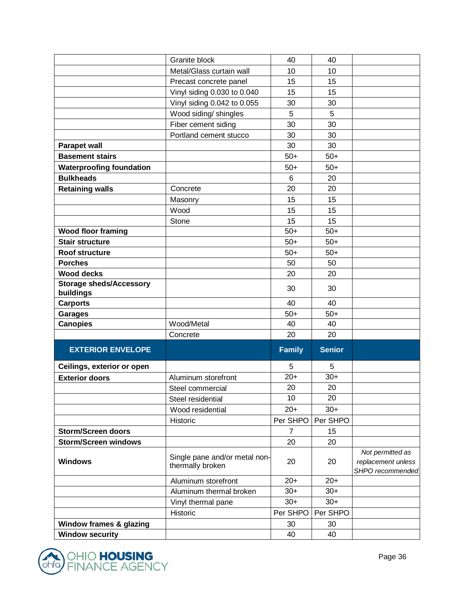|                                             | Granite block                                     | 40       | 40            |                                        |
|---------------------------------------------|---------------------------------------------------|----------|---------------|----------------------------------------|
|                                             | Metal/Glass curtain wall                          | 10       | 10            |                                        |
|                                             | Precast concrete panel                            | 15       | 15            |                                        |
|                                             | Vinyl siding 0.030 to 0.040                       | 15       | 15            |                                        |
|                                             | Vinyl siding 0.042 to 0.055                       | 30       | 30            |                                        |
|                                             | Wood siding/ shingles                             | 5        | 5             |                                        |
|                                             | Fiber cement siding                               | 30       | 30            |                                        |
|                                             | Portland cement stucco                            | 30       | 30            |                                        |
| <b>Parapet wall</b>                         |                                                   | 30       | 30            |                                        |
| <b>Basement stairs</b>                      |                                                   | $50+$    | $50+$         |                                        |
| <b>Waterproofing foundation</b>             |                                                   | $50+$    | $50+$         |                                        |
| <b>Bulkheads</b>                            |                                                   | 6        | 20            |                                        |
| <b>Retaining walls</b>                      | Concrete                                          | 20       | 20            |                                        |
|                                             | Masonry                                           | 15       | 15            |                                        |
|                                             | Wood                                              | 15       | 15            |                                        |
|                                             | Stone                                             | 15       | 15            |                                        |
| <b>Wood floor framing</b>                   |                                                   | $50+$    | $50+$         |                                        |
| <b>Stair structure</b>                      |                                                   | $50+$    | $50+$         |                                        |
| Roof structure                              |                                                   | $50+$    | $50+$         |                                        |
| <b>Porches</b>                              |                                                   | 50       | 50            |                                        |
| <b>Wood decks</b>                           |                                                   | 20       | 20            |                                        |
| <b>Storage sheds/Accessory</b><br>buildings |                                                   | 30       | 30            |                                        |
| <b>Carports</b>                             |                                                   | 40       | 40            |                                        |
| <b>Garages</b>                              |                                                   | $50+$    | $50+$         |                                        |
| <b>Canopies</b>                             | Wood/Metal                                        | 40       | 40            |                                        |
|                                             | Concrete                                          | 20       | 20            |                                        |
| <b>EXTERIOR ENVELOPE</b>                    |                                                   | Family   | <b>Senior</b> |                                        |
| Ceilings, exterior or open                  |                                                   | 5        | 5             |                                        |
| <b>Exterior doors</b>                       | Aluminum storefront                               | $20+$    | $30+$         |                                        |
|                                             | Steel commercial                                  | 20       | 20            |                                        |
|                                             | Steel residential                                 | 10       | 20            |                                        |
|                                             |                                                   |          |               |                                        |
|                                             | Wood residential                                  | $20+$    | $30+$         |                                        |
|                                             | Historic                                          | Per SHPO | Per SHPO      |                                        |
| <b>Storm/Screen doors</b>                   |                                                   | 7        | 15            |                                        |
| <b>Storm/Screen windows</b>                 |                                                   | 20       | 20            |                                        |
| <b>Windows</b>                              | Single pane and/or metal non-<br>thermally broken | 20       | 20            | Not permitted as<br>replacement unless |
|                                             | Aluminum storefront                               | $20+$    | $20+$         | SHPO recommended                       |
|                                             | Aluminum thermal broken                           | $30+$    | $30+$         |                                        |
|                                             |                                                   | $30+$    | $30+$         |                                        |
|                                             | Vinyl thermal pane<br>Historic                    | Per SHPO | Per SHPO      |                                        |
| Window frames & glazing                     |                                                   | 30       | 30            |                                        |

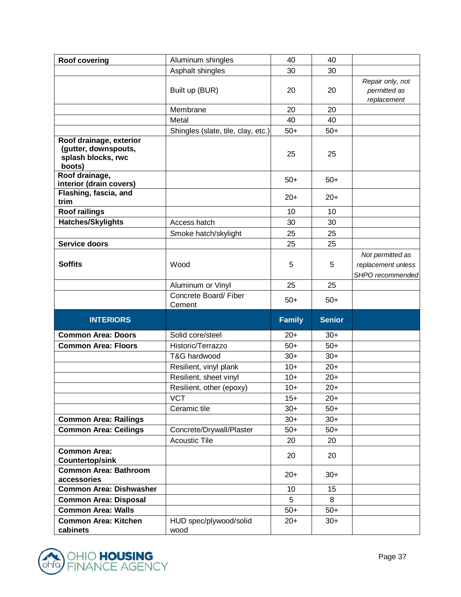| <b>Roof covering</b>                                                            | Aluminum shingles                  | 40             | 40             |                    |
|---------------------------------------------------------------------------------|------------------------------------|----------------|----------------|--------------------|
|                                                                                 | Asphalt shingles                   | 30             | 30             |                    |
|                                                                                 |                                    |                |                | Repair only, not   |
|                                                                                 | Built up (BUR)                     | 20             | 20             | permitted as       |
|                                                                                 |                                    |                |                | replacement        |
|                                                                                 | Membrane                           | 20             | 20             |                    |
|                                                                                 | Metal                              | 40             | 40             |                    |
|                                                                                 | Shingles (slate, tile, clay, etc.) | $50+$          | $50+$          |                    |
| Roof drainage, exterior<br>(gutter, downspouts,<br>splash blocks, rwc<br>boots) |                                    | 25             | 25             |                    |
| Roof drainage,<br>interior (drain covers)                                       |                                    | $50+$          | $50+$          |                    |
| Flashing, fascia, and<br>trim                                                   |                                    | $20+$          | $20+$          |                    |
| <b>Roof railings</b>                                                            |                                    | 10             | 10             |                    |
| Hatches/Skylights                                                               | Access hatch                       | 30             | 30             |                    |
|                                                                                 | Smoke hatch/skylight               | 25             | 25             |                    |
| Service doors                                                                   |                                    | 25             | 25             |                    |
|                                                                                 |                                    |                |                | Not permitted as   |
| <b>Soffits</b>                                                                  | Wood                               | 5              | 5              | replacement unless |
|                                                                                 |                                    |                |                | SHPO recommended   |
|                                                                                 | Aluminum or Vinyl                  | 25             | 25             |                    |
|                                                                                 |                                    |                |                |                    |
|                                                                                 | Concrete Board/ Fiber<br>Cement    | $50+$          | $50+$          |                    |
| <b>INTERIORS</b>                                                                |                                    | <b>Family</b>  | <b>Senior</b>  |                    |
| <b>Common Area: Doors</b>                                                       | Solid core/steel                   | $20+$          | $30+$          |                    |
| <b>Common Area: Floors</b>                                                      | Historic/Terrazzo                  | $50+$          | $50+$          |                    |
|                                                                                 | T&G hardwood                       | $30+$          | $30+$          |                    |
|                                                                                 | Resilient, vinyl plank             | $10+$          | $20+$          |                    |
|                                                                                 | Resilient, sheet vinyl             | $10+$          | $20+$          |                    |
|                                                                                 | Resilient, other (epoxy)           | $10+$          | $20+$          |                    |
|                                                                                 | <b>VCT</b>                         | $15+$          | $20+$          |                    |
|                                                                                 | Ceramic tile                       | $30+$          | $50+$          |                    |
| <b>Common Area: Railings</b>                                                    |                                    | $30+$          | $30+$          |                    |
| <b>Common Area: Ceilings</b>                                                    | Concrete/Drywall/Plaster           | $50+$          | $50+$          |                    |
|                                                                                 | <b>Acoustic Tile</b>               | 20             | 20             |                    |
| <b>Common Area:</b>                                                             |                                    |                |                |                    |
| <b>Countertop/sink</b>                                                          |                                    | 20             | 20             |                    |
| <b>Common Area: Bathroom</b>                                                    |                                    | $20+$          | $30+$          |                    |
| accessories                                                                     |                                    |                |                |                    |
| <b>Common Area: Dishwasher</b>                                                  |                                    | 10             | 15             |                    |
| <b>Common Area: Disposal</b>                                                    |                                    | 5              | 8              |                    |
| <b>Common Area: Walls</b><br><b>Common Area: Kitchen</b>                        | HUD spec/plywood/solid             | $50+$<br>$20+$ | $50+$<br>$30+$ |                    |

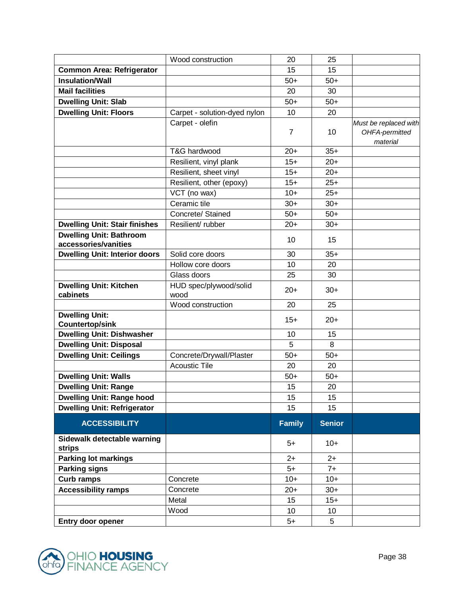|                                                        | Wood construction              | 20             | 25            |                                                     |
|--------------------------------------------------------|--------------------------------|----------------|---------------|-----------------------------------------------------|
| <b>Common Area: Refrigerator</b>                       |                                | 15             | 15            |                                                     |
| <b>Insulation/Wall</b>                                 |                                | $50+$          | $50+$         |                                                     |
| <b>Mail facilities</b>                                 |                                | 20             | 30            |                                                     |
| <b>Dwelling Unit: Slab</b>                             |                                | $50+$          | $50+$         |                                                     |
| <b>Dwelling Unit: Floors</b>                           | Carpet - solution-dyed nylon   | 10             | 20            |                                                     |
|                                                        | Carpet - olefin                | $\overline{7}$ | 10            | Must be replaced with<br>OHFA-permitted<br>material |
|                                                        | T&G hardwood                   | $20+$          | $35+$         |                                                     |
|                                                        | Resilient, vinyl plank         | $15+$          | $20+$         |                                                     |
|                                                        | Resilient, sheet vinyl         | $15+$          | $20+$         |                                                     |
|                                                        | Resilient, other (epoxy)       | $15+$          | $25+$         |                                                     |
|                                                        | VCT (no wax)                   | $10+$          | $25+$         |                                                     |
|                                                        | Ceramic tile                   | $30+$          | $30+$         |                                                     |
|                                                        | Concrete/ Stained              | $50+$          | $50+$         |                                                     |
| <b>Dwelling Unit: Stair finishes</b>                   | Resilient/rubber               | $20+$          | $30+$         |                                                     |
| <b>Dwelling Unit: Bathroom</b><br>accessories/vanities |                                | 10             | 15            |                                                     |
| <b>Dwelling Unit: Interior doors</b>                   | Solid core doors               | 30             | $35+$         |                                                     |
|                                                        | Hollow core doors              | 10             | 20            |                                                     |
|                                                        | Glass doors                    | 25             | 30            |                                                     |
| <b>Dwelling Unit: Kitchen</b><br>cabinets              | HUD spec/plywood/solid<br>wood | $20+$          | $30+$         |                                                     |
|                                                        | Wood construction              | 20             | 25            |                                                     |
| <b>Dwelling Unit:</b><br><b>Countertop/sink</b>        |                                | $15+$          | $20+$         |                                                     |
| <b>Dwelling Unit: Dishwasher</b>                       |                                | 10             | 15            |                                                     |
| <b>Dwelling Unit: Disposal</b>                         |                                | 5              | 8             |                                                     |
| <b>Dwelling Unit: Ceilings</b>                         | Concrete/Drywall/Plaster       | $50+$          | $50+$         |                                                     |
|                                                        | <b>Acoustic Tile</b>           | 20             | 20            |                                                     |
| <b>Dwelling Unit: Walls</b>                            |                                | $50+$          | $50+$         |                                                     |
| <b>Dwelling Unit: Range</b>                            |                                | 15             | 20            |                                                     |
| <b>Dwelling Unit: Range hood</b>                       |                                | 15             | 15            |                                                     |
| <b>Dwelling Unit: Refrigerator</b>                     |                                | 15             | 15            |                                                     |
| <b>ACCESSIBILITY</b>                                   |                                | <b>Family</b>  | <b>Senior</b> |                                                     |
| Sidewalk detectable warning<br><b>strips</b>           |                                | $5+$           | $10+$         |                                                     |
| <b>Parking lot markings</b>                            |                                | $2+$           | $2+$          |                                                     |
| <b>Parking signs</b>                                   |                                | $5+$           | $7+$          |                                                     |
| <b>Curb ramps</b>                                      | Concrete                       | $10+$          | $10+$         |                                                     |
| <b>Accessibility ramps</b>                             | Concrete                       | $20+$          | $30+$         |                                                     |
|                                                        | Metal                          | 15             | $15+$         |                                                     |
|                                                        |                                |                |               |                                                     |
|                                                        | Wood                           | 10             | 10            |                                                     |

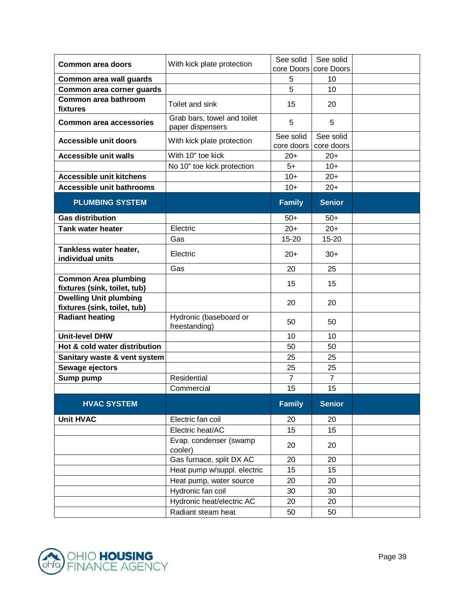| <b>Common area doors</b>                                      | With kick plate protection                      | See solid               | See solid               |  |
|---------------------------------------------------------------|-------------------------------------------------|-------------------------|-------------------------|--|
|                                                               |                                                 | core Doors              | core Doors              |  |
| Common area wall guards                                       |                                                 | 5<br>5                  | 10                      |  |
| Common area corner guards                                     |                                                 |                         | 10                      |  |
| Common area bathroom<br>fixtures                              | Toilet and sink                                 | 15                      | 20                      |  |
| <b>Common area accessories</b>                                | Grab bars, towel and toilet<br>paper dispensers | 5                       | 5                       |  |
| <b>Accessible unit doors</b>                                  | With kick plate protection                      | See solid<br>core doors | See solid<br>core doors |  |
| <b>Accessible unit walls</b>                                  | With 10" toe kick                               | $20+$                   | $20+$                   |  |
|                                                               | No 10" toe kick protection                      | $5+$                    | $10+$                   |  |
| <b>Accessible unit kitchens</b>                               |                                                 | $10+$                   | $20+$                   |  |
| <b>Accessible unit bathrooms</b>                              |                                                 | $10+$                   | $20+$                   |  |
| <b>PLUMBING SYSTEM</b>                                        |                                                 | <b>Family</b>           | <b>Senior</b>           |  |
| <b>Gas distribution</b>                                       |                                                 | $50+$                   | $50+$                   |  |
| <b>Tank water heater</b>                                      | Electric                                        | $20+$                   | $20+$                   |  |
|                                                               | Gas                                             | 15-20                   | 15-20                   |  |
| Tankless water heater,<br>individual units                    | Electric                                        | $20+$                   | $30+$                   |  |
|                                                               | Gas                                             | 20                      | 25                      |  |
| <b>Common Area plumbing</b><br>fixtures (sink, toilet, tub)   |                                                 | 15                      | 15                      |  |
| <b>Dwelling Unit plumbing</b><br>fixtures (sink, toilet, tub) |                                                 | 20                      | 20                      |  |
| <b>Radiant heating</b>                                        | Hydronic (baseboard or<br>freestanding)         | 50                      | 50                      |  |
| <b>Unit-level DHW</b>                                         |                                                 | 10                      | 10                      |  |
| Hot & cold water distribution                                 |                                                 | 50                      | 50                      |  |
| Sanitary waste & vent system                                  |                                                 | 25                      | 25                      |  |
| Sewage ejectors                                               |                                                 | 25                      | 25                      |  |
| Sump pump                                                     | Residential                                     | $\overline{7}$          | $\overline{7}$          |  |
|                                                               | Commercial                                      | 15                      | 15                      |  |
| <b>HVAC SYSTEM</b>                                            |                                                 | <b>Family</b>           | <b>Senior</b>           |  |
| <b>Unit HVAC</b>                                              | Electric fan coil                               | 20                      | 20                      |  |
|                                                               | Electric heat/AC                                | 15                      | 15                      |  |
|                                                               | Evap. condenser (swamp<br>cooler)               | 20                      | 20                      |  |
|                                                               | Gas furnace, split DX AC                        | 20                      | 20                      |  |
|                                                               | Heat pump w/suppl. electric                     | 15                      | 15                      |  |
|                                                               | Heat pump, water source                         | 20                      | 20                      |  |
|                                                               | Hydronic fan coil                               | 30                      | 30                      |  |
|                                                               | Hydronic heat/electric AC                       | 20                      | 20                      |  |
|                                                               | Radiant steam heat                              | 50                      | 50                      |  |

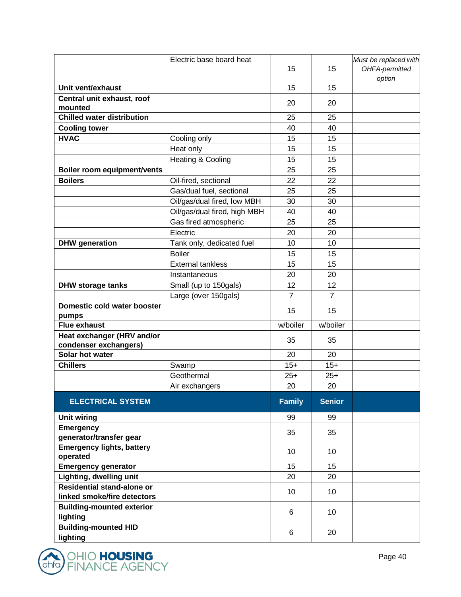|                                              | Electric base board heat     |                |                | Must be replaced with |
|----------------------------------------------|------------------------------|----------------|----------------|-----------------------|
|                                              |                              | 15             | 15             | OHFA-permitted        |
|                                              |                              |                |                | option                |
| Unit vent/exhaust                            |                              | 15             | 15             |                       |
| Central unit exhaust, roof<br>mounted        |                              | 20             | 20             |                       |
| <b>Chilled water distribution</b>            |                              | 25             | 25             |                       |
| <b>Cooling tower</b>                         |                              | 40             | 40             |                       |
| <b>HVAC</b>                                  | Cooling only                 | 15             | 15             |                       |
|                                              | Heat only                    | 15             | 15             |                       |
|                                              | Heating & Cooling            | 15             | 15             |                       |
| Boiler room equipment/vents                  |                              | 25             | 25             |                       |
| <b>Boilers</b>                               | Oil-fired, sectional         | 22             | 22             |                       |
|                                              | Gas/dual fuel, sectional     | 25             | 25             |                       |
|                                              | Oil/gas/dual fired, low MBH  | 30             | 30             |                       |
|                                              | Oil/gas/dual fired, high MBH | 40             | 40             |                       |
|                                              | Gas fired atmospheric        | 25             | 25             |                       |
|                                              | Electric                     | 20             | 20             |                       |
| <b>DHW</b> generation                        | Tank only, dedicated fuel    | 10             | 10             |                       |
|                                              | <b>Boiler</b>                | 15             | 15             |                       |
|                                              | <b>External tankless</b>     | 15             | 15             |                       |
|                                              | Instantaneous                | 20             | 20             |                       |
| <b>DHW storage tanks</b>                     | Small (up to 150gals)        | 12             | 12             |                       |
|                                              | Large (over 150gals)         | $\overline{7}$ | $\overline{7}$ |                       |
| Domestic cold water booster<br>pumps         |                              | 15             | 15             |                       |
| <b>Flue exhaust</b>                          |                              | w/boiler       | w/boiler       |                       |
| Heat exchanger (HRV and/or                   |                              | 35             | 35             |                       |
| condenser exchangers)                        |                              |                |                |                       |
| Solar hot water                              |                              | 20             | 20             |                       |
| <b>Chillers</b>                              | Swamp                        | $15+$          | $15+$          |                       |
|                                              | Geothermal                   | $25+$          | $25+$          |                       |
|                                              | Air exchangers               | 20             | 20             |                       |
| <b>ELECTRICAL SYSTEM</b>                     |                              | <b>Family</b>  | <b>Senior</b>  |                       |
| <b>Unit wiring</b>                           |                              | 99             | 99             |                       |
| <b>Emergency</b>                             |                              | 35             | 35             |                       |
| generator/transfer gear                      |                              |                |                |                       |
| <b>Emergency lights, battery</b><br>operated |                              | 10             | 10             |                       |
| <b>Emergency generator</b>                   |                              | 15             | 15             |                       |
| Lighting, dwelling unit                      |                              | 20             | 20             |                       |
| Residential stand-alone or                   |                              |                |                |                       |
| linked smoke/fire detectors                  |                              | 10             | 10             |                       |
| <b>Building-mounted exterior</b>             |                              | 6              | 10             |                       |
| lighting                                     |                              |                |                |                       |
| <b>Building-mounted HID</b>                  |                              | 6              | 20             |                       |
| lighting                                     |                              |                |                |                       |